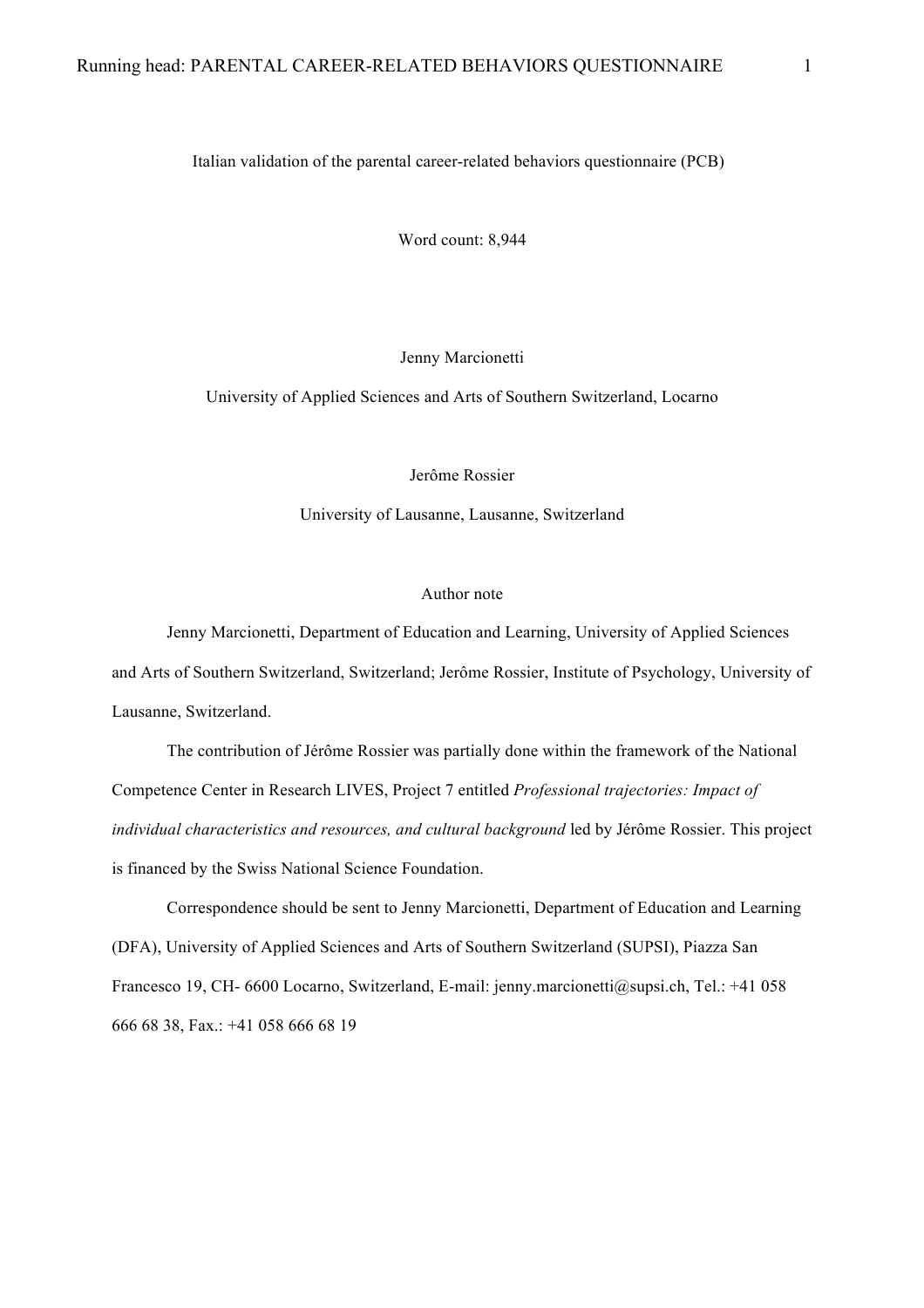Italian validation of the parental career-related behaviors questionnaire (PCB)

Word count: 8,944

Jenny Marcionetti

University of Applied Sciences and Arts of Southern Switzerland, Locarno

Jerôme Rossier

University of Lausanne, Lausanne, Switzerland

#### Author note

Jenny Marcionetti, Department of Education and Learning, University of Applied Sciences and Arts of Southern Switzerland, Switzerland; Jerôme Rossier, Institute of Psychology, University of Lausanne, Switzerland.

The contribution of Jérôme Rossier was partially done within the framework of the National Competence Center in Research LIVES, Project 7 entitled *Professional trajectories: Impact of individual characteristics and resources, and cultural background* led by Jérôme Rossier. This project is financed by the Swiss National Science Foundation.

Correspondence should be sent to Jenny Marcionetti, Department of Education and Learning (DFA), University of Applied Sciences and Arts of Southern Switzerland (SUPSI), Piazza San Francesco 19, CH- 6600 Locarno, Switzerland, E-mail: jenny.marcionetti@supsi.ch, Tel.: +41 058 666 68 38, Fax.: +41 058 666 68 19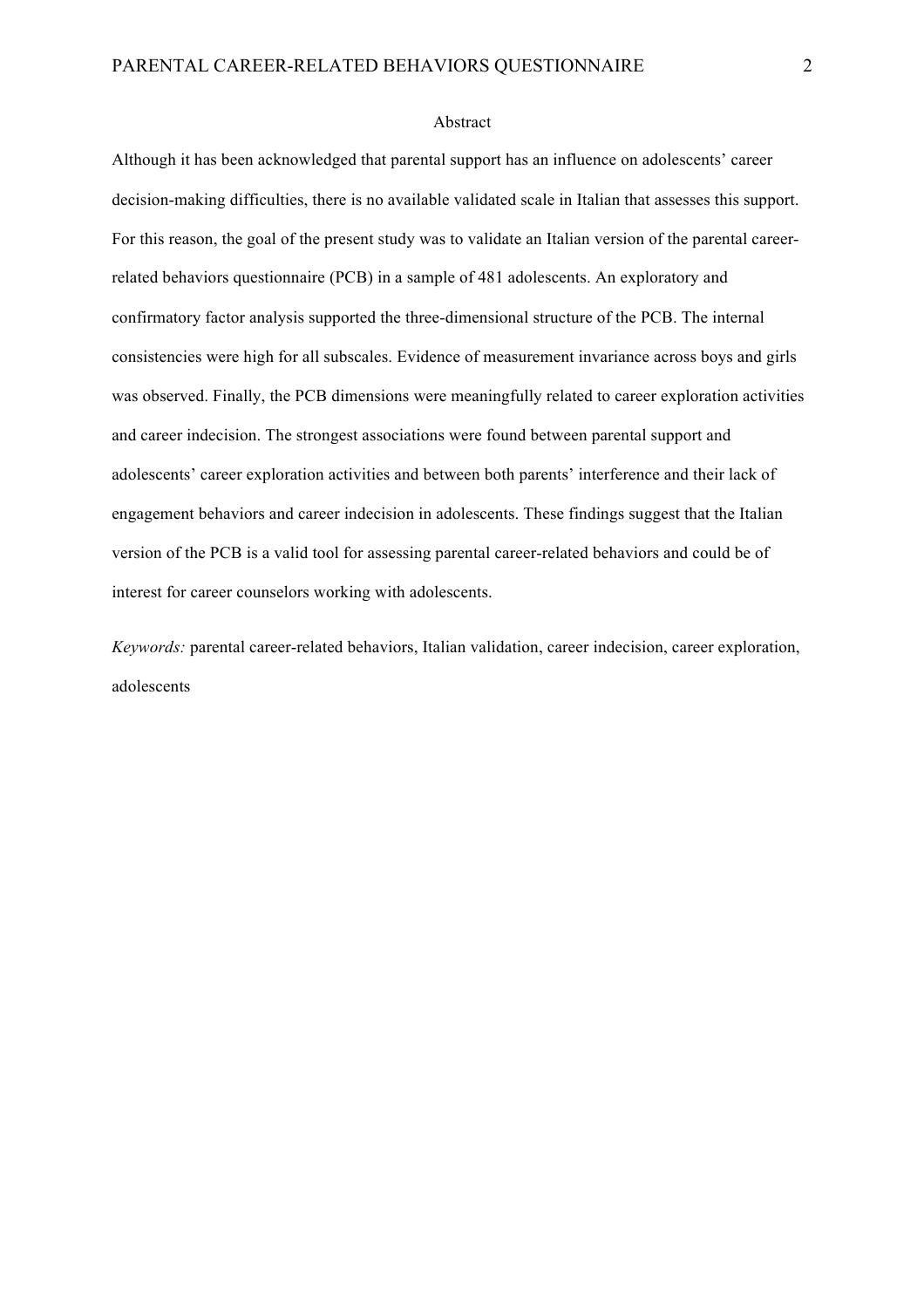#### Abstract

Although it has been acknowledged that parental support has an influence on adolescents' career decision-making difficulties, there is no available validated scale in Italian that assesses this support. For this reason, the goal of the present study was to validate an Italian version of the parental careerrelated behaviors questionnaire (PCB) in a sample of 481 adolescents. An exploratory and confirmatory factor analysis supported the three-dimensional structure of the PCB. The internal consistencies were high for all subscales. Evidence of measurement invariance across boys and girls was observed. Finally, the PCB dimensions were meaningfully related to career exploration activities and career indecision. The strongest associations were found between parental support and adolescents' career exploration activities and between both parents' interference and their lack of engagement behaviors and career indecision in adolescents. These findings suggest that the Italian version of the PCB is a valid tool for assessing parental career-related behaviors and could be of interest for career counselors working with adolescents.

*Keywords:* parental career-related behaviors, Italian validation, career indecision, career exploration, adolescents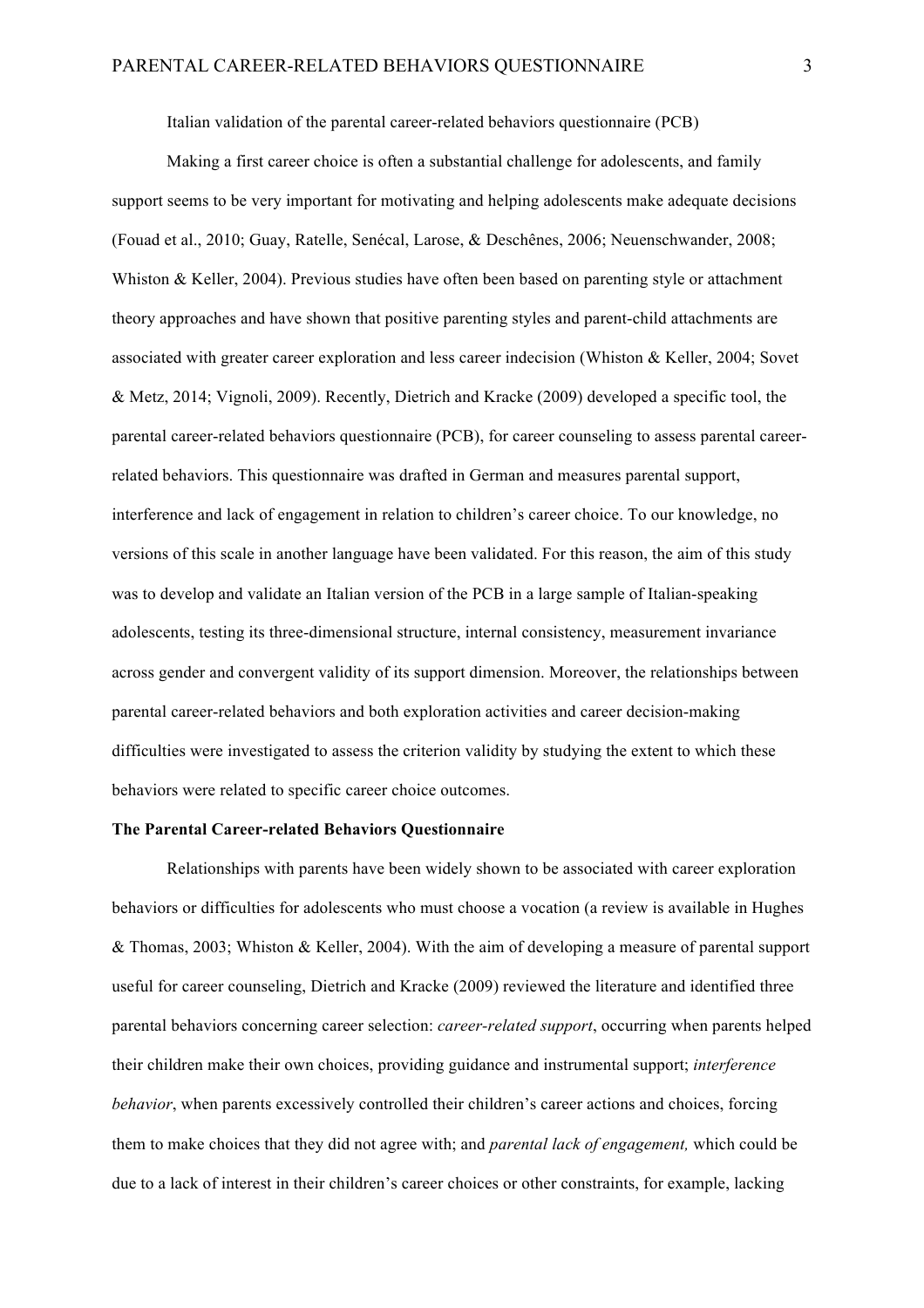Italian validation of the parental career-related behaviors questionnaire (PCB)

Making a first career choice is often a substantial challenge for adolescents, and family support seems to be very important for motivating and helping adolescents make adequate decisions (Fouad et al., 2010; Guay, Ratelle, Senécal, Larose, & Deschênes, 2006; Neuenschwander, 2008; Whiston & Keller, 2004). Previous studies have often been based on parenting style or attachment theory approaches and have shown that positive parenting styles and parent-child attachments are associated with greater career exploration and less career indecision (Whiston & Keller, 2004; Sovet & Metz, 2014; Vignoli, 2009). Recently, Dietrich and Kracke (2009) developed a specific tool, the parental career-related behaviors questionnaire (PCB), for career counseling to assess parental careerrelated behaviors. This questionnaire was drafted in German and measures parental support, interference and lack of engagement in relation to children's career choice. To our knowledge, no versions of this scale in another language have been validated. For this reason, the aim of this study was to develop and validate an Italian version of the PCB in a large sample of Italian-speaking adolescents, testing its three-dimensional structure, internal consistency, measurement invariance across gender and convergent validity of its support dimension. Moreover, the relationships between parental career-related behaviors and both exploration activities and career decision-making difficulties were investigated to assess the criterion validity by studying the extent to which these behaviors were related to specific career choice outcomes.

### **The Parental Career-related Behaviors Questionnaire**

Relationships with parents have been widely shown to be associated with career exploration behaviors or difficulties for adolescents who must choose a vocation (a review is available in Hughes & Thomas, 2003; Whiston & Keller, 2004). With the aim of developing a measure of parental support useful for career counseling, Dietrich and Kracke (2009) reviewed the literature and identified three parental behaviors concerning career selection: *career-related support*, occurring when parents helped their children make their own choices, providing guidance and instrumental support; *interference behavior*, when parents excessively controlled their children's career actions and choices, forcing them to make choices that they did not agree with; and *parental lack of engagement,* which could be due to a lack of interest in their children's career choices or other constraints, for example, lacking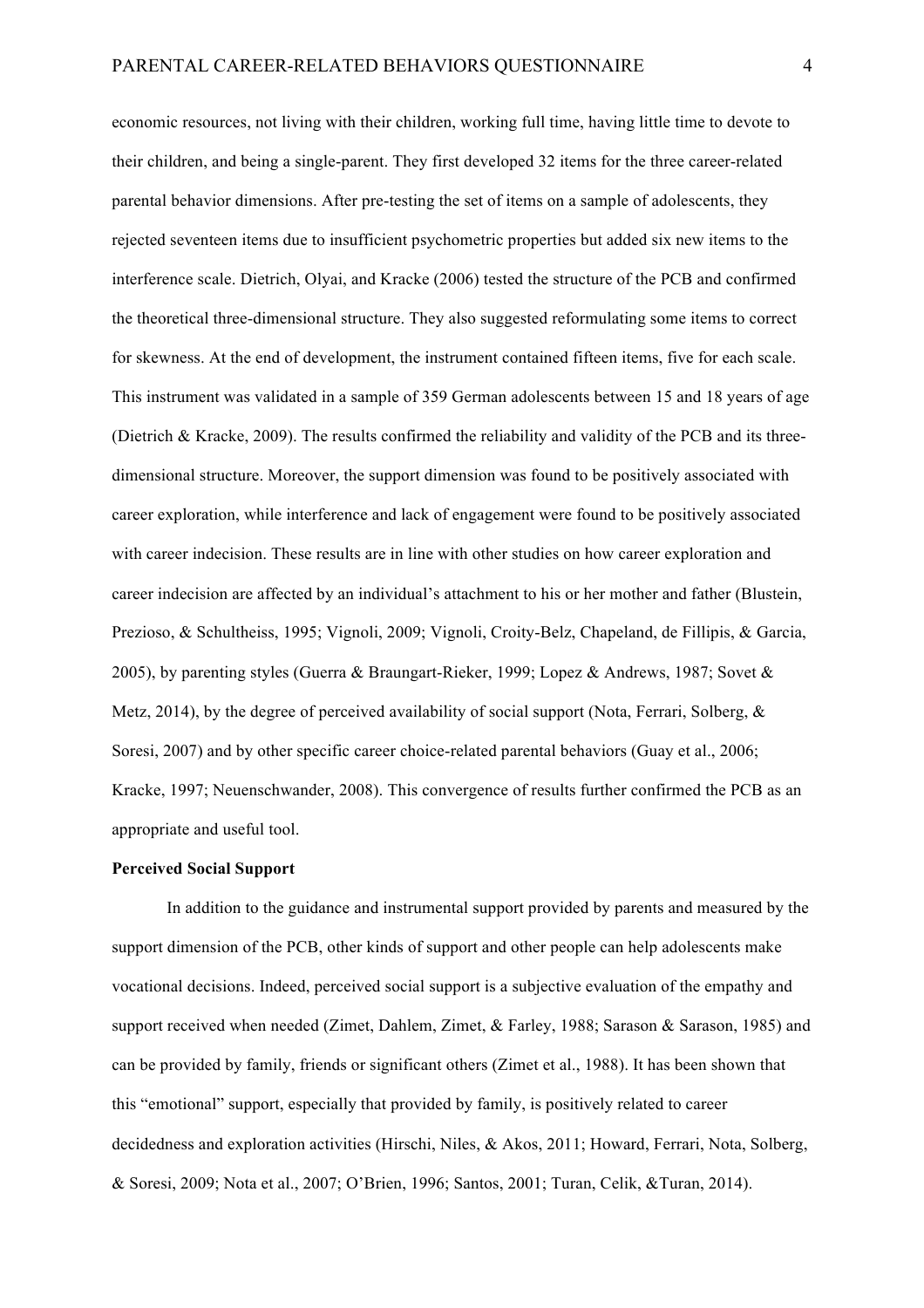economic resources, not living with their children, working full time, having little time to devote to their children, and being a single-parent. They first developed 32 items for the three career-related parental behavior dimensions. After pre-testing the set of items on a sample of adolescents, they rejected seventeen items due to insufficient psychometric properties but added six new items to the interference scale. Dietrich, Olyai, and Kracke (2006) tested the structure of the PCB and confirmed the theoretical three-dimensional structure. They also suggested reformulating some items to correct for skewness. At the end of development, the instrument contained fifteen items, five for each scale. This instrument was validated in a sample of 359 German adolescents between 15 and 18 years of age (Dietrich & Kracke, 2009). The results confirmed the reliability and validity of the PCB and its threedimensional structure. Moreover, the support dimension was found to be positively associated with career exploration, while interference and lack of engagement were found to be positively associated with career indecision. These results are in line with other studies on how career exploration and career indecision are affected by an individual's attachment to his or her mother and father (Blustein, Prezioso, & Schultheiss, 1995; Vignoli, 2009; Vignoli, Croity-Belz, Chapeland, de Fillipis, & Garcia, 2005), by parenting styles (Guerra & Braungart-Rieker, 1999; Lopez & Andrews, 1987; Sovet & Metz, 2014), by the degree of perceived availability of social support (Nota, Ferrari, Solberg,  $\&$ Soresi, 2007) and by other specific career choice-related parental behaviors (Guay et al., 2006; Kracke, 1997; Neuenschwander, 2008). This convergence of results further confirmed the PCB as an appropriate and useful tool.

# **Perceived Social Support**

In addition to the guidance and instrumental support provided by parents and measured by the support dimension of the PCB, other kinds of support and other people can help adolescents make vocational decisions. Indeed, perceived social support is a subjective evaluation of the empathy and support received when needed (Zimet, Dahlem, Zimet, & Farley, 1988; Sarason & Sarason, 1985) and can be provided by family, friends or significant others (Zimet et al., 1988). It has been shown that this "emotional" support, especially that provided by family, is positively related to career decidedness and exploration activities (Hirschi, Niles, & Akos, 2011; Howard, Ferrari, Nota, Solberg, & Soresi, 2009; Nota et al., 2007; O'Brien, 1996; Santos, 2001; Turan, Celik, &Turan, 2014).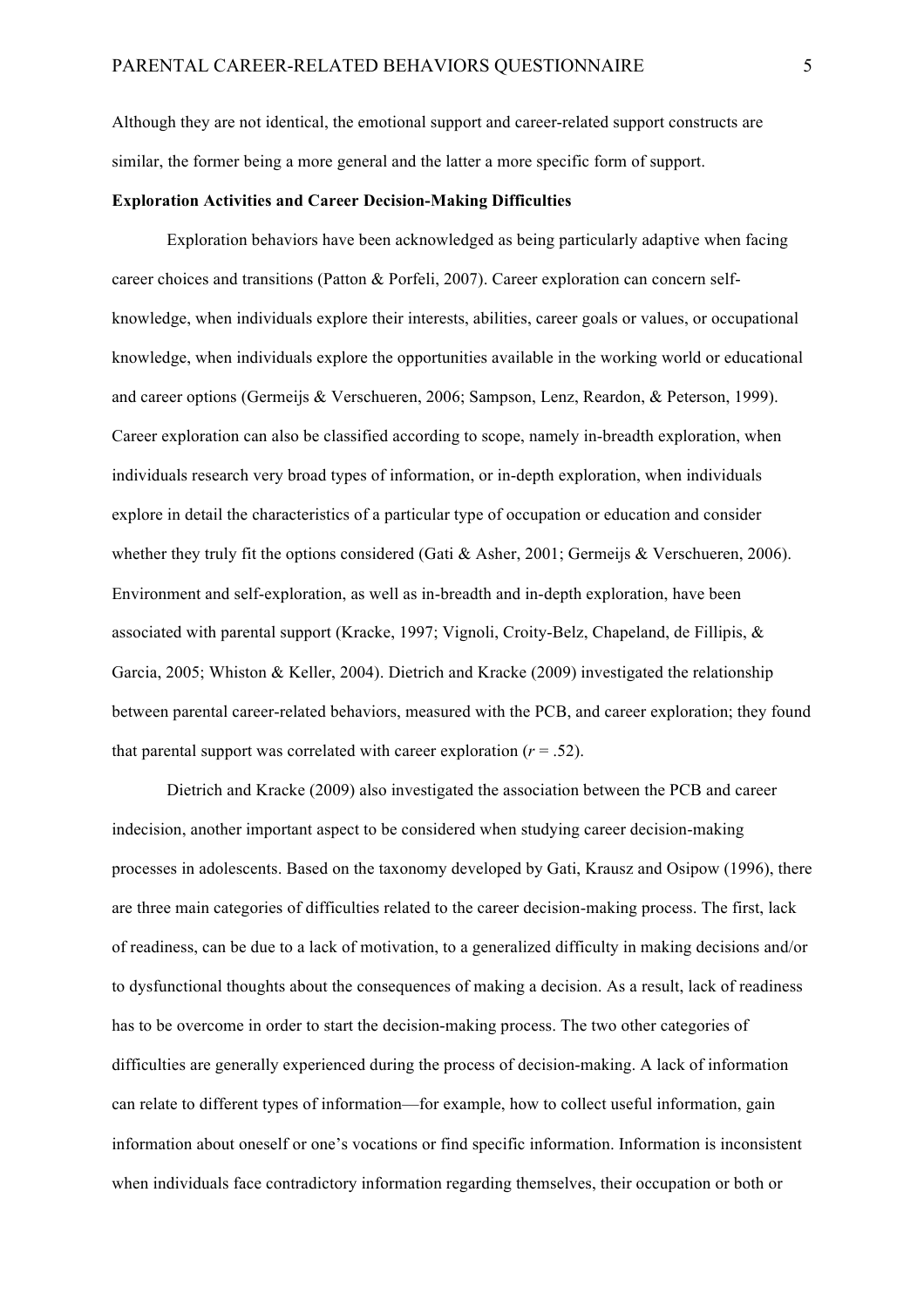Although they are not identical, the emotional support and career-related support constructs are similar, the former being a more general and the latter a more specific form of support.

#### **Exploration Activities and Career Decision-Making Difficulties**

Exploration behaviors have been acknowledged as being particularly adaptive when facing career choices and transitions (Patton & Porfeli, 2007). Career exploration can concern selfknowledge, when individuals explore their interests, abilities, career goals or values, or occupational knowledge, when individuals explore the opportunities available in the working world or educational and career options (Germeijs & Verschueren, 2006; Sampson, Lenz, Reardon, & Peterson, 1999). Career exploration can also be classified according to scope, namely in-breadth exploration, when individuals research very broad types of information, or in-depth exploration, when individuals explore in detail the characteristics of a particular type of occupation or education and consider whether they truly fit the options considered (Gati & Asher, 2001; Germeijs & Verschueren, 2006). Environment and self-exploration, as well as in-breadth and in-depth exploration, have been associated with parental support (Kracke, 1997; Vignoli, Croity-Belz, Chapeland, de Fillipis, & Garcia, 2005; Whiston & Keller, 2004). Dietrich and Kracke (2009) investigated the relationship between parental career-related behaviors, measured with the PCB, and career exploration; they found that parental support was correlated with career exploration  $(r = .52)$ .

Dietrich and Kracke (2009) also investigated the association between the PCB and career indecision, another important aspect to be considered when studying career decision-making processes in adolescents. Based on the taxonomy developed by Gati, Krausz and Osipow (1996), there are three main categories of difficulties related to the career decision-making process. The first, lack of readiness, can be due to a lack of motivation, to a generalized difficulty in making decisions and/or to dysfunctional thoughts about the consequences of making a decision. As a result, lack of readiness has to be overcome in order to start the decision-making process. The two other categories of difficulties are generally experienced during the process of decision-making. A lack of information can relate to different types of information—for example, how to collect useful information, gain information about oneself or one's vocations or find specific information. Information is inconsistent when individuals face contradictory information regarding themselves, their occupation or both or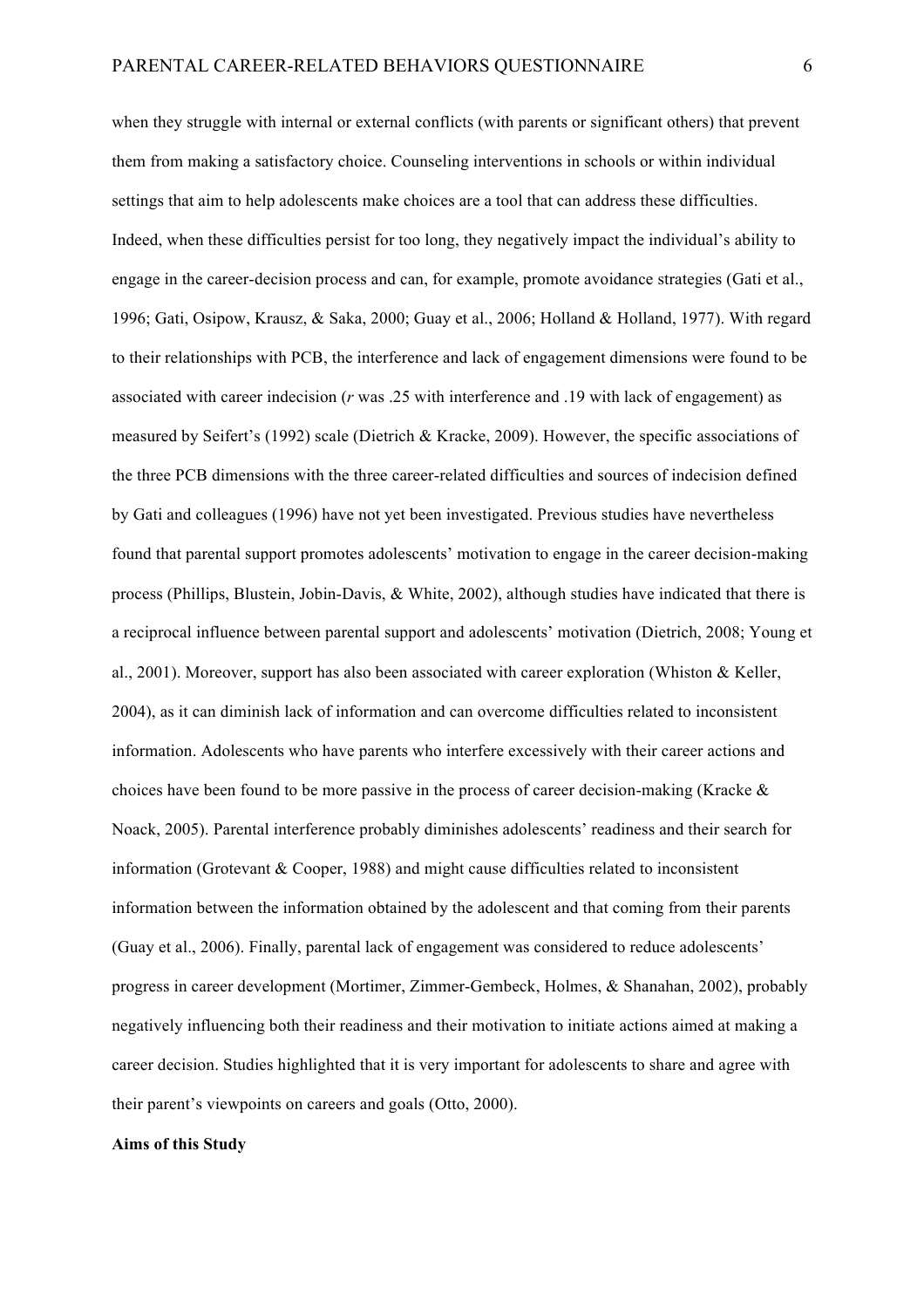when they struggle with internal or external conflicts (with parents or significant others) that prevent them from making a satisfactory choice. Counseling interventions in schools or within individual settings that aim to help adolescents make choices are a tool that can address these difficulties. Indeed, when these difficulties persist for too long, they negatively impact the individual's ability to engage in the career-decision process and can, for example, promote avoidance strategies (Gati et al., 1996; Gati, Osipow, Krausz, & Saka, 2000; Guay et al., 2006; Holland & Holland, 1977). With regard to their relationships with PCB, the interference and lack of engagement dimensions were found to be associated with career indecision (*r* was .25 with interference and .19 with lack of engagement) as measured by Seifert's (1992) scale (Dietrich & Kracke, 2009). However, the specific associations of the three PCB dimensions with the three career-related difficulties and sources of indecision defined by Gati and colleagues (1996) have not yet been investigated. Previous studies have nevertheless found that parental support promotes adolescents' motivation to engage in the career decision-making process (Phillips, Blustein, Jobin-Davis, & White, 2002), although studies have indicated that there is a reciprocal influence between parental support and adolescents' motivation (Dietrich, 2008; Young et al., 2001). Moreover, support has also been associated with career exploration (Whiston & Keller, 2004), as it can diminish lack of information and can overcome difficulties related to inconsistent information. Adolescents who have parents who interfere excessively with their career actions and choices have been found to be more passive in the process of career decision-making (Kracke  $\&$ Noack, 2005). Parental interference probably diminishes adolescents' readiness and their search for information (Grotevant & Cooper, 1988) and might cause difficulties related to inconsistent information between the information obtained by the adolescent and that coming from their parents (Guay et al., 2006). Finally, parental lack of engagement was considered to reduce adolescents' progress in career development (Mortimer, Zimmer-Gembeck, Holmes, & Shanahan, 2002), probably negatively influencing both their readiness and their motivation to initiate actions aimed at making a career decision. Studies highlighted that it is very important for adolescents to share and agree with their parent's viewpoints on careers and goals (Otto, 2000).

#### **Aims of this Study**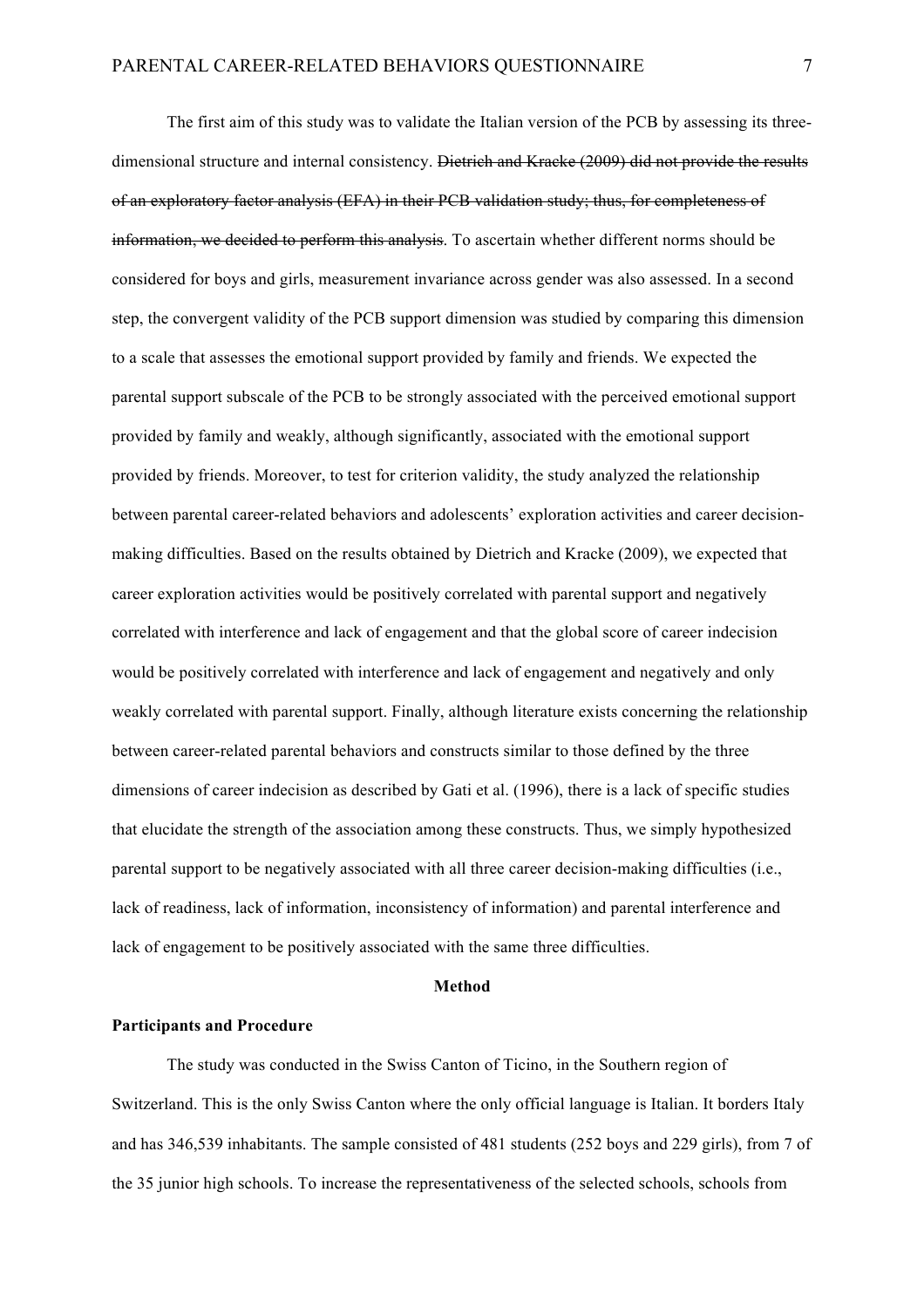The first aim of this study was to validate the Italian version of the PCB by assessing its threedimensional structure and internal consistency. Dietrich and Kracke (2009) did not provide the results of an exploratory factor analysis (EFA) in their PCB validation study; thus, for completeness of information, we decided to perform this analysis. To ascertain whether different norms should be considered for boys and girls, measurement invariance across gender was also assessed. In a second step, the convergent validity of the PCB support dimension was studied by comparing this dimension to a scale that assesses the emotional support provided by family and friends. We expected the parental support subscale of the PCB to be strongly associated with the perceived emotional support provided by family and weakly, although significantly, associated with the emotional support provided by friends. Moreover, to test for criterion validity, the study analyzed the relationship between parental career-related behaviors and adolescents' exploration activities and career decisionmaking difficulties. Based on the results obtained by Dietrich and Kracke (2009), we expected that career exploration activities would be positively correlated with parental support and negatively correlated with interference and lack of engagement and that the global score of career indecision would be positively correlated with interference and lack of engagement and negatively and only weakly correlated with parental support. Finally, although literature exists concerning the relationship between career-related parental behaviors and constructs similar to those defined by the three dimensions of career indecision as described by Gati et al. (1996), there is a lack of specific studies that elucidate the strength of the association among these constructs. Thus, we simply hypothesized parental support to be negatively associated with all three career decision-making difficulties (i.e., lack of readiness, lack of information, inconsistency of information) and parental interference and lack of engagement to be positively associated with the same three difficulties.

## **Method**

#### **Participants and Procedure**

The study was conducted in the Swiss Canton of Ticino, in the Southern region of Switzerland. This is the only Swiss Canton where the only official language is Italian. It borders Italy and has 346,539 inhabitants. The sample consisted of 481 students (252 boys and 229 girls), from 7 of the 35 junior high schools. To increase the representativeness of the selected schools, schools from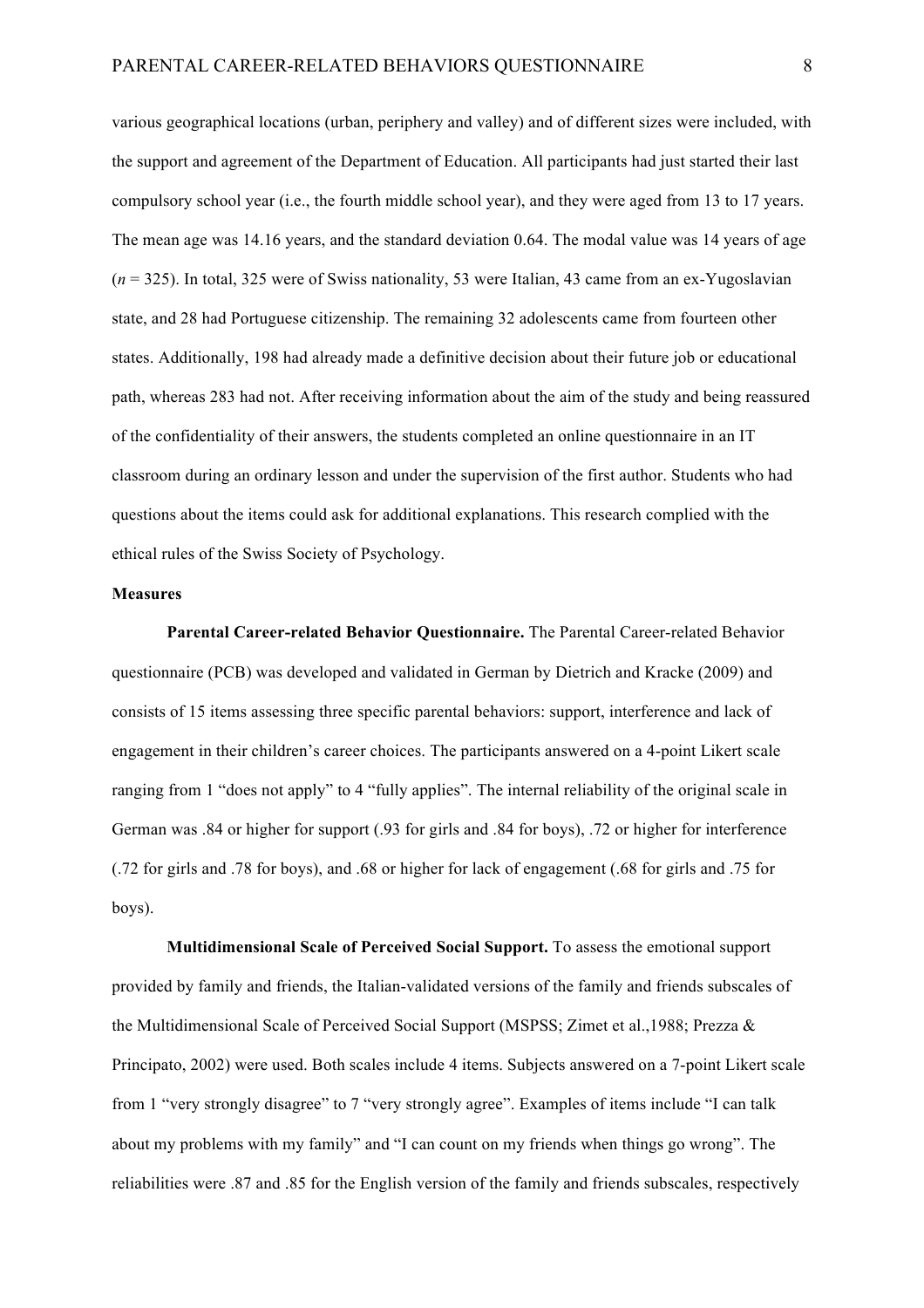various geographical locations (urban, periphery and valley) and of different sizes were included, with the support and agreement of the Department of Education. All participants had just started their last compulsory school year (i.e., the fourth middle school year), and they were aged from 13 to 17 years. The mean age was 14.16 years, and the standard deviation 0.64. The modal value was 14 years of age (*n* = 325). In total, 325 were of Swiss nationality, 53 were Italian, 43 came from an ex-Yugoslavian state, and 28 had Portuguese citizenship. The remaining 32 adolescents came from fourteen other states. Additionally, 198 had already made a definitive decision about their future job or educational path, whereas 283 had not. After receiving information about the aim of the study and being reassured of the confidentiality of their answers, the students completed an online questionnaire in an IT classroom during an ordinary lesson and under the supervision of the first author. Students who had questions about the items could ask for additional explanations. This research complied with the ethical rules of the Swiss Society of Psychology.

#### **Measures**

**Parental Career-related Behavior Questionnaire.** The Parental Career-related Behavior questionnaire (PCB) was developed and validated in German by Dietrich and Kracke (2009) and consists of 15 items assessing three specific parental behaviors: support, interference and lack of engagement in their children's career choices. The participants answered on a 4-point Likert scale ranging from 1 "does not apply" to 4 "fully applies". The internal reliability of the original scale in German was .84 or higher for support (.93 for girls and .84 for boys), .72 or higher for interference (.72 for girls and .78 for boys), and .68 or higher for lack of engagement (.68 for girls and .75 for boys).

**Multidimensional Scale of Perceived Social Support.** To assess the emotional support provided by family and friends, the Italian-validated versions of the family and friends subscales of the Multidimensional Scale of Perceived Social Support (MSPSS; Zimet et al.,1988; Prezza & Principato, 2002) were used. Both scales include 4 items. Subjects answered on a 7-point Likert scale from 1 "very strongly disagree" to 7 "very strongly agree". Examples of items include "I can talk about my problems with my family" and "I can count on my friends when things go wrong". The reliabilities were .87 and .85 for the English version of the family and friends subscales, respectively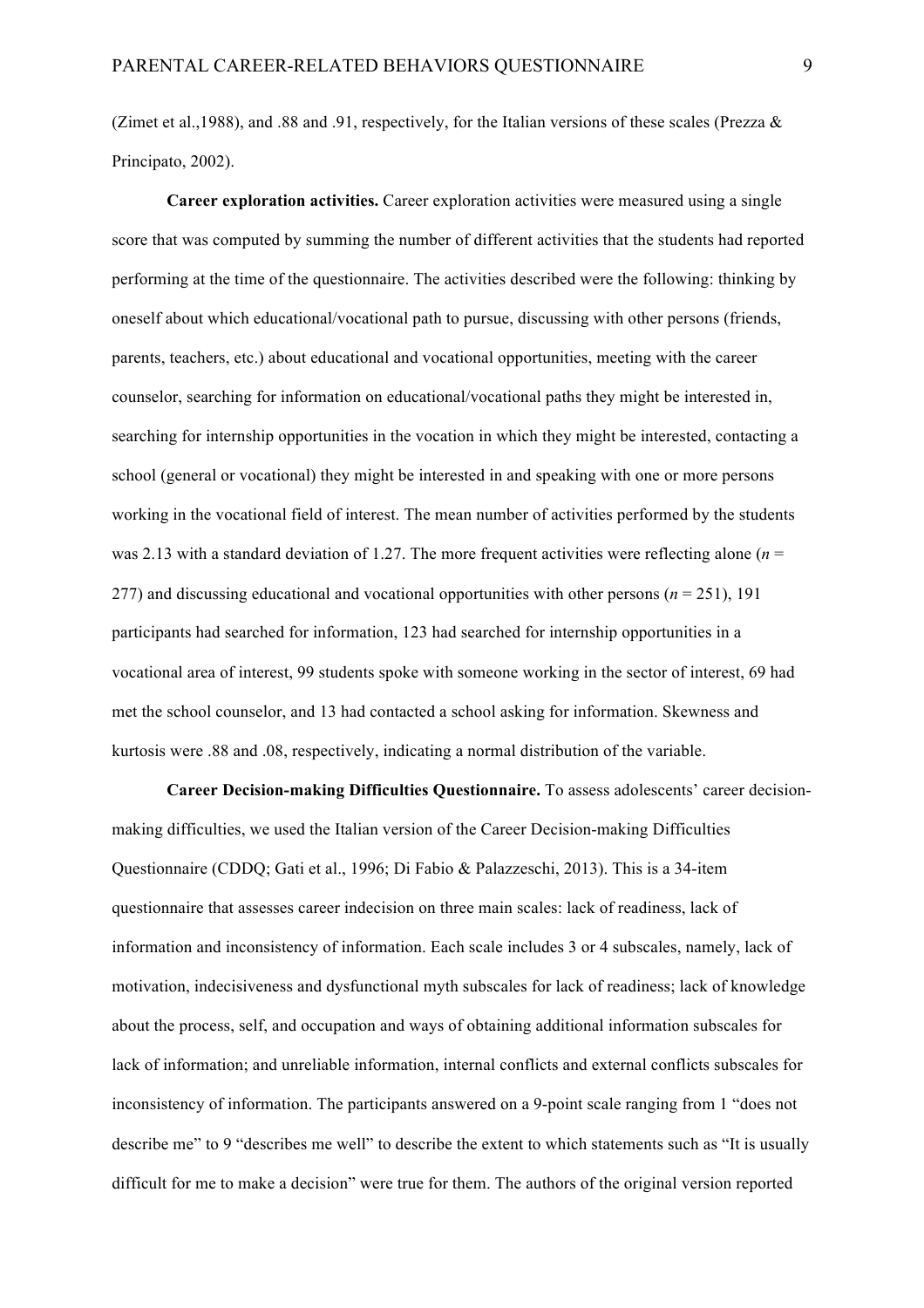(Zimet et al., 1988), and .88 and .91, respectively, for the Italian versions of these scales (Prezza  $\&$ Principato, 2002).

**Career exploration activities.** Career exploration activities were measured using a single score that was computed by summing the number of different activities that the students had reported performing at the time of the questionnaire. The activities described were the following: thinking by oneself about which educational/vocational path to pursue, discussing with other persons (friends, parents, teachers, etc.) about educational and vocational opportunities, meeting with the career counselor, searching for information on educational/vocational paths they might be interested in, searching for internship opportunities in the vocation in which they might be interested, contacting a school (general or vocational) they might be interested in and speaking with one or more persons working in the vocational field of interest. The mean number of activities performed by the students was 2.13 with a standard deviation of 1.27. The more frequent activities were reflecting alone (*n* = 277) and discussing educational and vocational opportunities with other persons  $(n = 251)$ , 191 participants had searched for information, 123 had searched for internship opportunities in a vocational area of interest, 99 students spoke with someone working in the sector of interest, 69 had met the school counselor, and 13 had contacted a school asking for information. Skewness and kurtosis were .88 and .08, respectively, indicating a normal distribution of the variable.

**Career Decision-making Difficulties Questionnaire.** To assess adolescents' career decisionmaking difficulties, we used the Italian version of the Career Decision-making Difficulties Questionnaire (CDDQ; Gati et al., 1996; Di Fabio & Palazzeschi, 2013). This is a 34-item questionnaire that assesses career indecision on three main scales: lack of readiness, lack of information and inconsistency of information. Each scale includes 3 or 4 subscales, namely, lack of motivation, indecisiveness and dysfunctional myth subscales for lack of readiness; lack of knowledge about the process, self, and occupation and ways of obtaining additional information subscales for lack of information; and unreliable information, internal conflicts and external conflicts subscales for inconsistency of information. The participants answered on a 9-point scale ranging from 1 "does not describe me" to 9 "describes me well" to describe the extent to which statements such as "It is usually difficult for me to make a decision" were true for them. The authors of the original version reported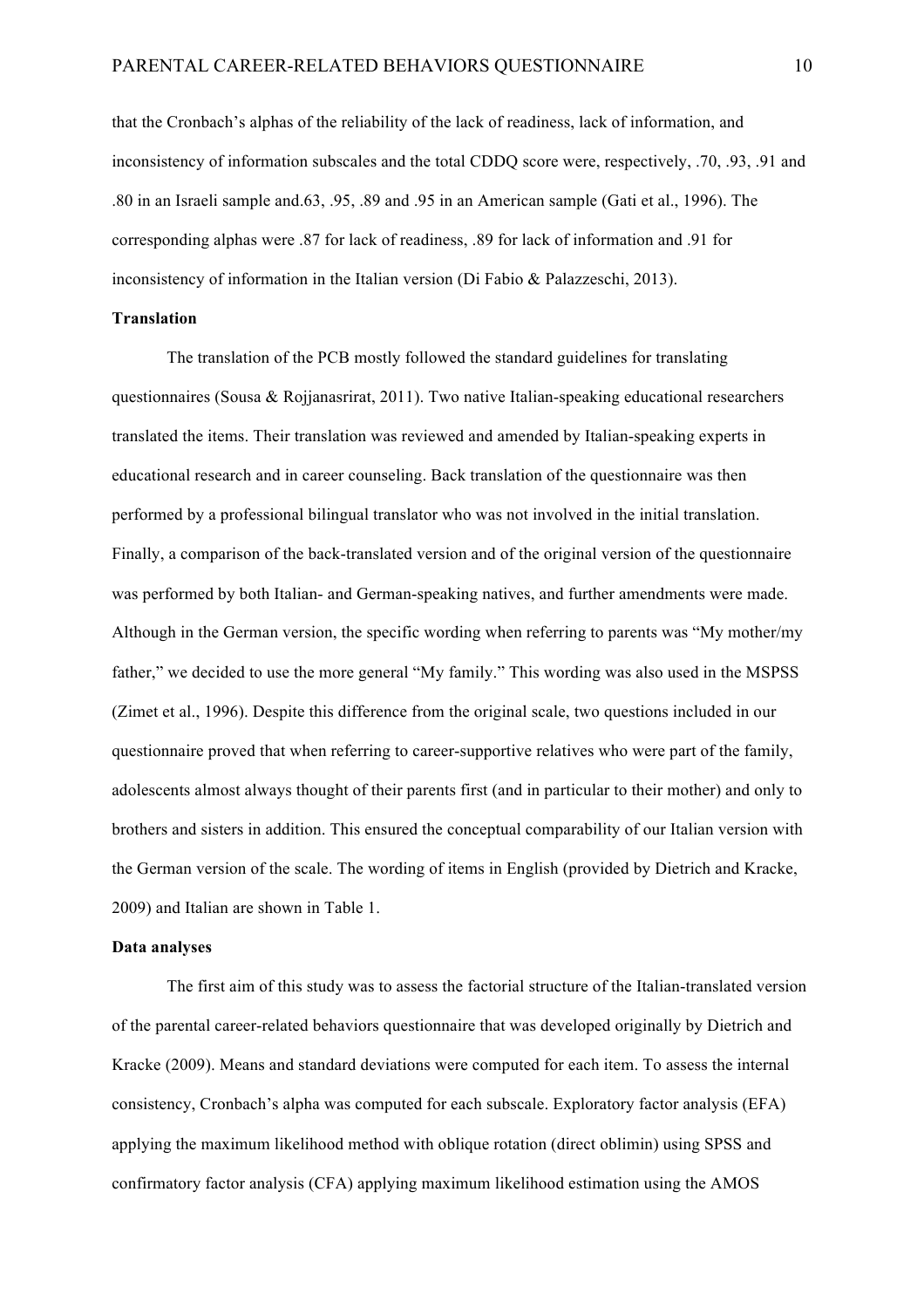that the Cronbach's alphas of the reliability of the lack of readiness, lack of information, and inconsistency of information subscales and the total CDDQ score were, respectively, .70, .93, .91 and .80 in an Israeli sample and.63, .95, .89 and .95 in an American sample (Gati et al., 1996). The corresponding alphas were .87 for lack of readiness, .89 for lack of information and .91 for inconsistency of information in the Italian version (Di Fabio & Palazzeschi, 2013).

# **Translation**

The translation of the PCB mostly followed the standard guidelines for translating questionnaires (Sousa & Rojjanasrirat, 2011). Two native Italian-speaking educational researchers translated the items. Their translation was reviewed and amended by Italian-speaking experts in educational research and in career counseling. Back translation of the questionnaire was then performed by a professional bilingual translator who was not involved in the initial translation. Finally, a comparison of the back-translated version and of the original version of the questionnaire was performed by both Italian- and German-speaking natives, and further amendments were made. Although in the German version, the specific wording when referring to parents was "My mother/my father," we decided to use the more general "My family." This wording was also used in the MSPSS (Zimet et al., 1996). Despite this difference from the original scale, two questions included in our questionnaire proved that when referring to career-supportive relatives who were part of the family, adolescents almost always thought of their parents first (and in particular to their mother) and only to brothers and sisters in addition. This ensured the conceptual comparability of our Italian version with the German version of the scale. The wording of items in English (provided by Dietrich and Kracke, 2009) and Italian are shown in Table 1.

## **Data analyses**

The first aim of this study was to assess the factorial structure of the Italian-translated version of the parental career-related behaviors questionnaire that was developed originally by Dietrich and Kracke (2009). Means and standard deviations were computed for each item. To assess the internal consistency, Cronbach's alpha was computed for each subscale. Exploratory factor analysis (EFA) applying the maximum likelihood method with oblique rotation (direct oblimin) using SPSS and confirmatory factor analysis (CFA) applying maximum likelihood estimation using the AMOS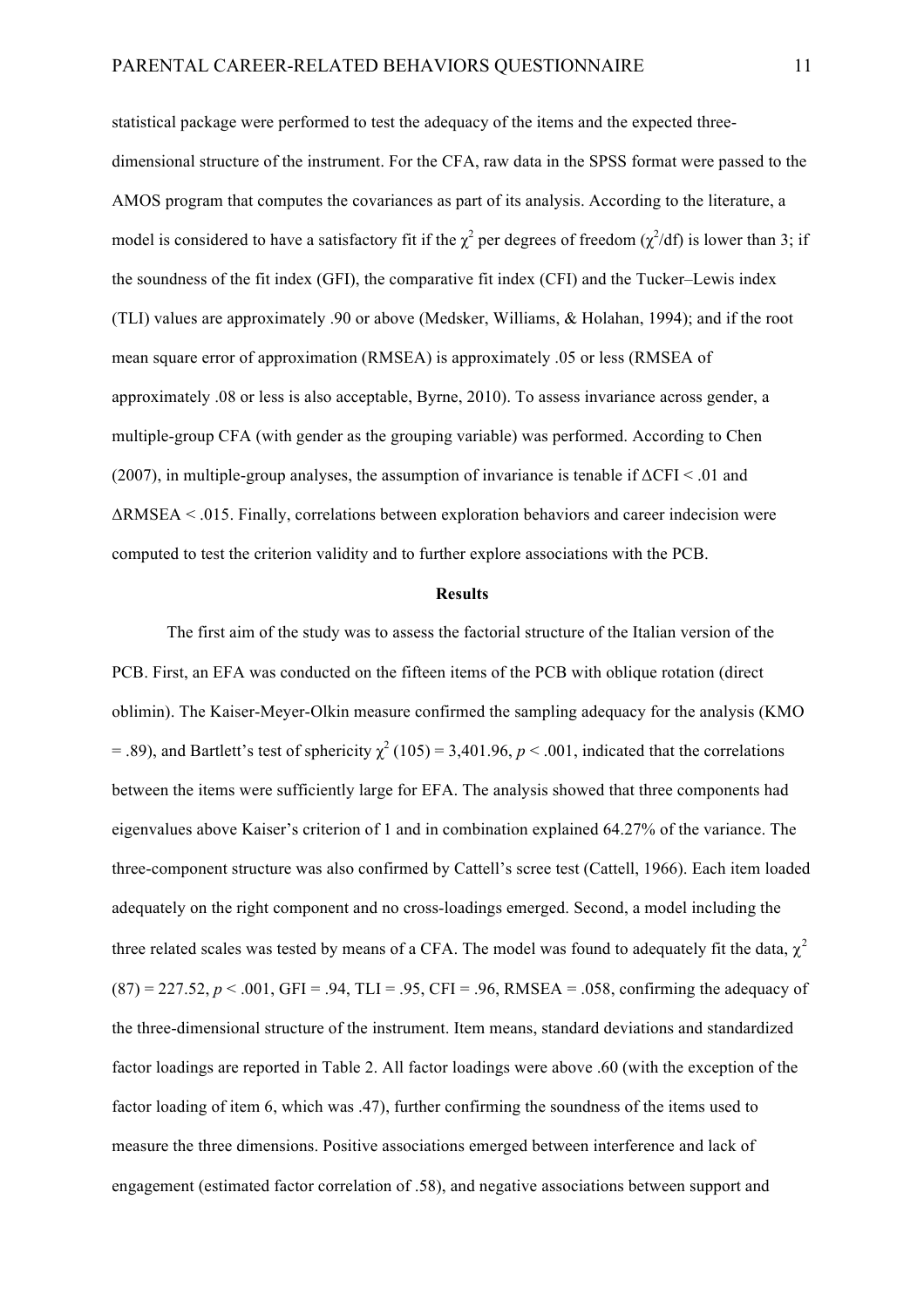statistical package were performed to test the adequacy of the items and the expected threedimensional structure of the instrument. For the CFA, raw data in the SPSS format were passed to the AMOS program that computes the covariances as part of its analysis. According to the literature, a model is considered to have a satisfactory fit if the  $\chi^2$  per degrees of freedom ( $\chi^2$ /df) is lower than 3; if the soundness of the fit index (GFI), the comparative fit index (CFI) and the Tucker–Lewis index (TLI) values are approximately .90 or above (Medsker, Williams, & Holahan, 1994); and if the root mean square error of approximation (RMSEA) is approximately .05 or less (RMSEA of approximately .08 or less is also acceptable, Byrne, 2010). To assess invariance across gender, a multiple-group CFA (with gender as the grouping variable) was performed. According to Chen (2007), in multiple-group analyses, the assumption of invariance is tenable if  $\Delta$ CFI < .01 and ΔRMSEA < .015. Finally, correlations between exploration behaviors and career indecision were computed to test the criterion validity and to further explore associations with the PCB.

#### **Results**

The first aim of the study was to assess the factorial structure of the Italian version of the PCB. First, an EFA was conducted on the fifteen items of the PCB with oblique rotation (direct oblimin). The Kaiser-Meyer-Olkin measure confirmed the sampling adequacy for the analysis (KMO = .89), and Bartlett's test of sphericity  $\chi^2$  (105) = 3,401.96, *p* < .001, indicated that the correlations between the items were sufficiently large for EFA. The analysis showed that three components had eigenvalues above Kaiser's criterion of 1 and in combination explained 64.27% of the variance. The three-component structure was also confirmed by Cattell's scree test (Cattell, 1966). Each item loaded adequately on the right component and no cross-loadings emerged. Second, a model including the three related scales was tested by means of a CFA. The model was found to adequately fit the data,  $\chi^2$  $(87) = 227.52, p < .001, GFI = .94, TLI = .95, CFI = .96, RMSEA = .058, confirming the adequacy of$ the three-dimensional structure of the instrument. Item means, standard deviations and standardized factor loadings are reported in Table 2. All factor loadings were above .60 (with the exception of the factor loading of item 6, which was .47), further confirming the soundness of the items used to measure the three dimensions. Positive associations emerged between interference and lack of engagement (estimated factor correlation of .58), and negative associations between support and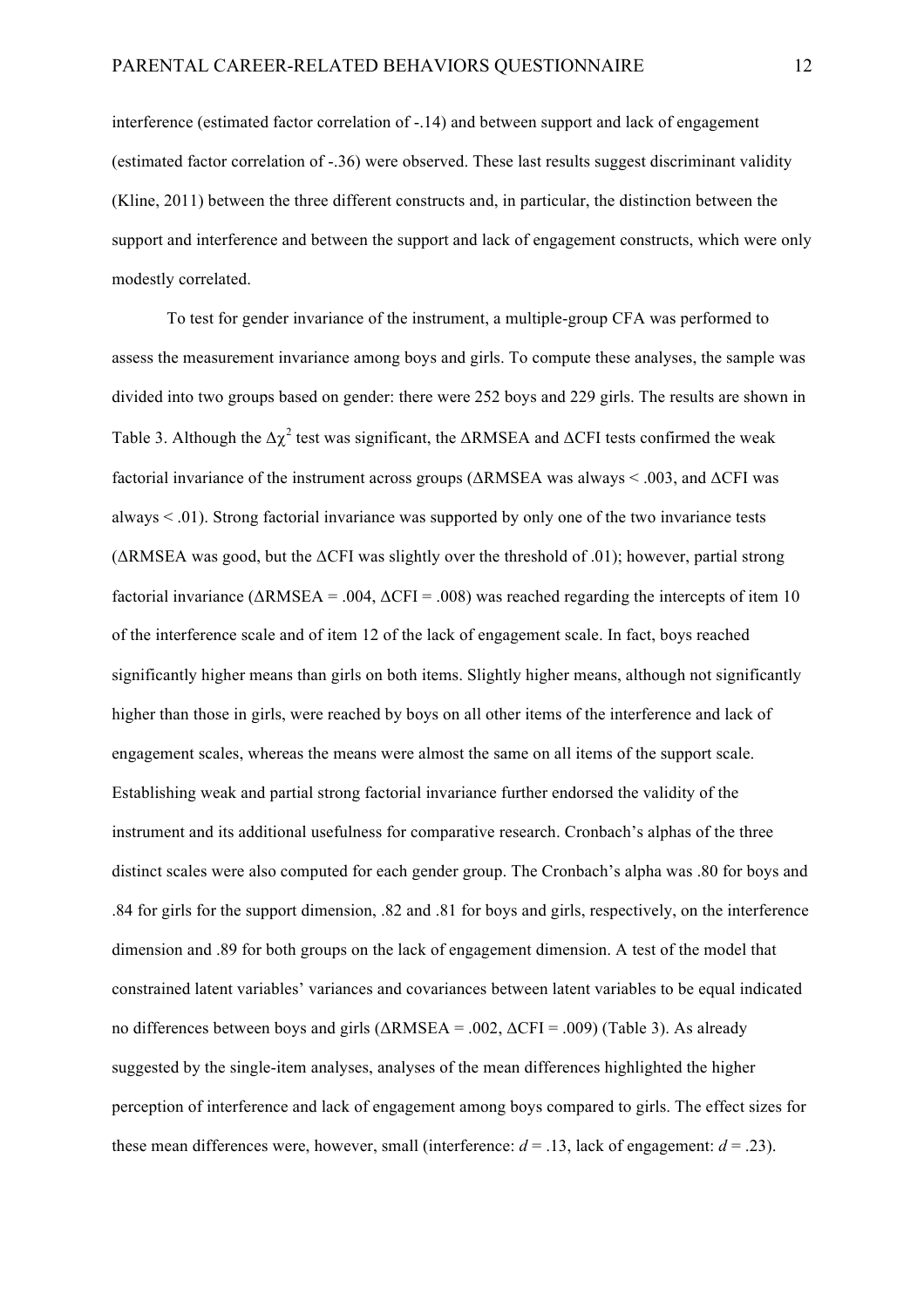interference (estimated factor correlation of -.14) and between support and lack of engagement (estimated factor correlation of -.36) were observed. These last results suggest discriminant validity (Kline, 2011) between the three different constructs and, in particular, the distinction between the support and interference and between the support and lack of engagement constructs, which were only modestly correlated.

To test for gender invariance of the instrument, a multiple-group CFA was performed to assess the measurement invariance among boys and girls. To compute these analyses, the sample was divided into two groups based on gender: there were 252 boys and 229 girls. The results are shown in Table 3. Although the  $\Delta \chi^2$  test was significant, the  $\Delta$ RMSEA and  $\Delta$ CFI tests confirmed the weak factorial invariance of the instrument across groups ( $\triangle$ RMSEA was always < .003, and  $\triangle$ CFI was always < .01). Strong factorial invariance was supported by only one of the two invariance tests  $(\Delta RMSEA$  was good, but the  $\Delta$ CFI was slightly over the threshold of .01); however, partial strong factorial invariance ( $\triangle$ RMSEA = .004,  $\triangle$ CFI = .008) was reached regarding the intercepts of item 10 of the interference scale and of item 12 of the lack of engagement scale. In fact, boys reached significantly higher means than girls on both items. Slightly higher means, although not significantly higher than those in girls, were reached by boys on all other items of the interference and lack of engagement scales, whereas the means were almost the same on all items of the support scale. Establishing weak and partial strong factorial invariance further endorsed the validity of the instrument and its additional usefulness for comparative research. Cronbach's alphas of the three distinct scales were also computed for each gender group. The Cronbach's alpha was .80 for boys and .84 for girls for the support dimension, .82 and .81 for boys and girls, respectively, on the interference dimension and .89 for both groups on the lack of engagement dimension. A test of the model that constrained latent variables' variances and covariances between latent variables to be equal indicated no differences between boys and girls  $(\triangle RMSEA = .002, \triangle CFI = .009)$  (Table 3). As already suggested by the single-item analyses, analyses of the mean differences highlighted the higher perception of interference and lack of engagement among boys compared to girls. The effect sizes for these mean differences were, however, small (interference:  $d = .13$ , lack of engagement:  $d = .23$ ).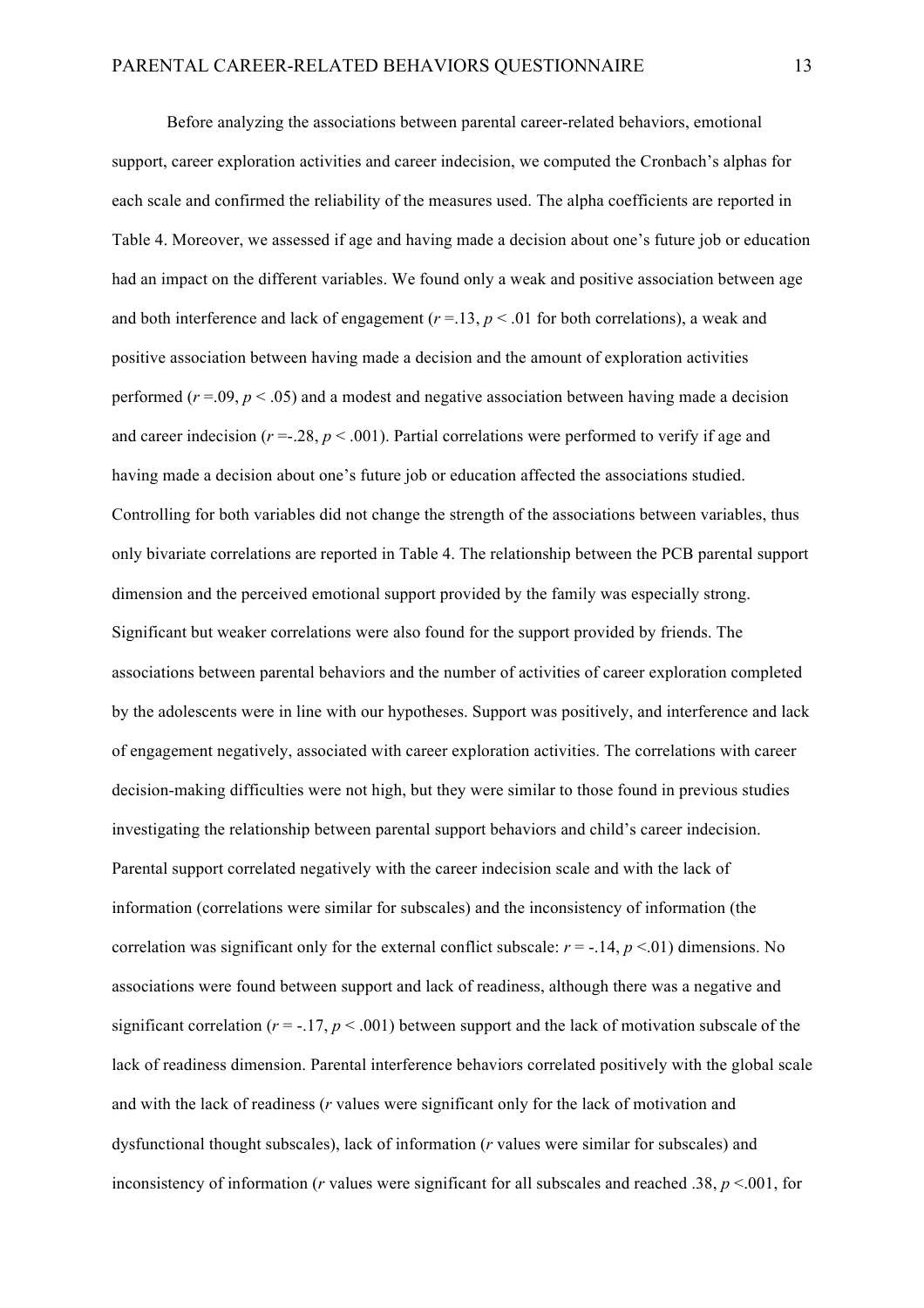Before analyzing the associations between parental career-related behaviors, emotional support, career exploration activities and career indecision, we computed the Cronbach's alphas for each scale and confirmed the reliability of the measures used. The alpha coefficients are reported in Table 4. Moreover, we assessed if age and having made a decision about one's future job or education had an impact on the different variables. We found only a weak and positive association between age and both interference and lack of engagement  $(r = 13, p < .01$  for both correlations), a weak and positive association between having made a decision and the amount of exploration activities performed  $(r = .09, p < .05)$  and a modest and negative association between having made a decision and career indecision ( $r = 0.28$ ,  $p < 0.001$ ). Partial correlations were performed to verify if age and having made a decision about one's future job or education affected the associations studied. Controlling for both variables did not change the strength of the associations between variables, thus only bivariate correlations are reported in Table 4. The relationship between the PCB parental support dimension and the perceived emotional support provided by the family was especially strong. Significant but weaker correlations were also found for the support provided by friends. The associations between parental behaviors and the number of activities of career exploration completed by the adolescents were in line with our hypotheses. Support was positively, and interference and lack of engagement negatively, associated with career exploration activities. The correlations with career decision-making difficulties were not high, but they were similar to those found in previous studies investigating the relationship between parental support behaviors and child's career indecision. Parental support correlated negatively with the career indecision scale and with the lack of information (correlations were similar for subscales) and the inconsistency of information (the correlation was significant only for the external conflict subscale:  $r = -14$ ,  $p < 01$ ) dimensions. No associations were found between support and lack of readiness, although there was a negative and significant correlation ( $r = -17$ ,  $p < .001$ ) between support and the lack of motivation subscale of the lack of readiness dimension. Parental interference behaviors correlated positively with the global scale and with the lack of readiness (*r* values were significant only for the lack of motivation and dysfunctional thought subscales), lack of information (*r* values were similar for subscales) and inconsistency of information (*r* values were significant for all subscales and reached .38,  $p < .001$ , for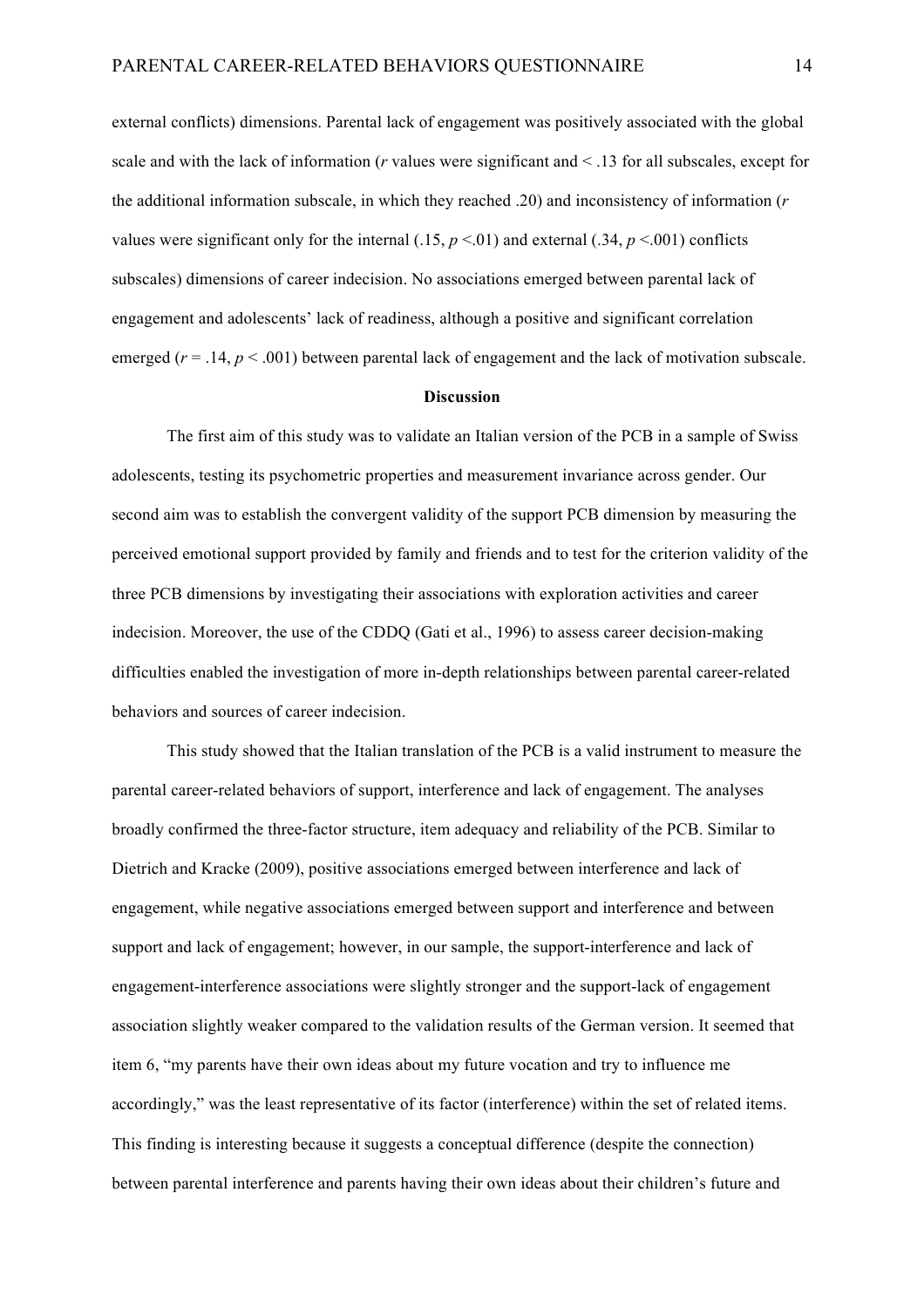external conflicts) dimensions. Parental lack of engagement was positively associated with the global scale and with the lack of information (*r* values were significant and < .13 for all subscales, except for the additional information subscale, in which they reached .20) and inconsistency of information (*r*  values were significant only for the internal  $(.15, p \le 0.01)$  and external  $(.34, p \le 0.001)$  conflicts subscales) dimensions of career indecision. No associations emerged between parental lack of engagement and adolescents' lack of readiness, although a positive and significant correlation emerged ( $r = .14$ ,  $p < .001$ ) between parental lack of engagement and the lack of motivation subscale.

#### **Discussion**

The first aim of this study was to validate an Italian version of the PCB in a sample of Swiss adolescents, testing its psychometric properties and measurement invariance across gender. Our second aim was to establish the convergent validity of the support PCB dimension by measuring the perceived emotional support provided by family and friends and to test for the criterion validity of the three PCB dimensions by investigating their associations with exploration activities and career indecision. Moreover, the use of the CDDQ (Gati et al., 1996) to assess career decision-making difficulties enabled the investigation of more in-depth relationships between parental career-related behaviors and sources of career indecision.

This study showed that the Italian translation of the PCB is a valid instrument to measure the parental career-related behaviors of support, interference and lack of engagement. The analyses broadly confirmed the three-factor structure, item adequacy and reliability of the PCB. Similar to Dietrich and Kracke (2009), positive associations emerged between interference and lack of engagement, while negative associations emerged between support and interference and between support and lack of engagement; however, in our sample, the support-interference and lack of engagement-interference associations were slightly stronger and the support-lack of engagement association slightly weaker compared to the validation results of the German version. It seemed that item 6, "my parents have their own ideas about my future vocation and try to influence me accordingly," was the least representative of its factor (interference) within the set of related items. This finding is interesting because it suggests a conceptual difference (despite the connection) between parental interference and parents having their own ideas about their children's future and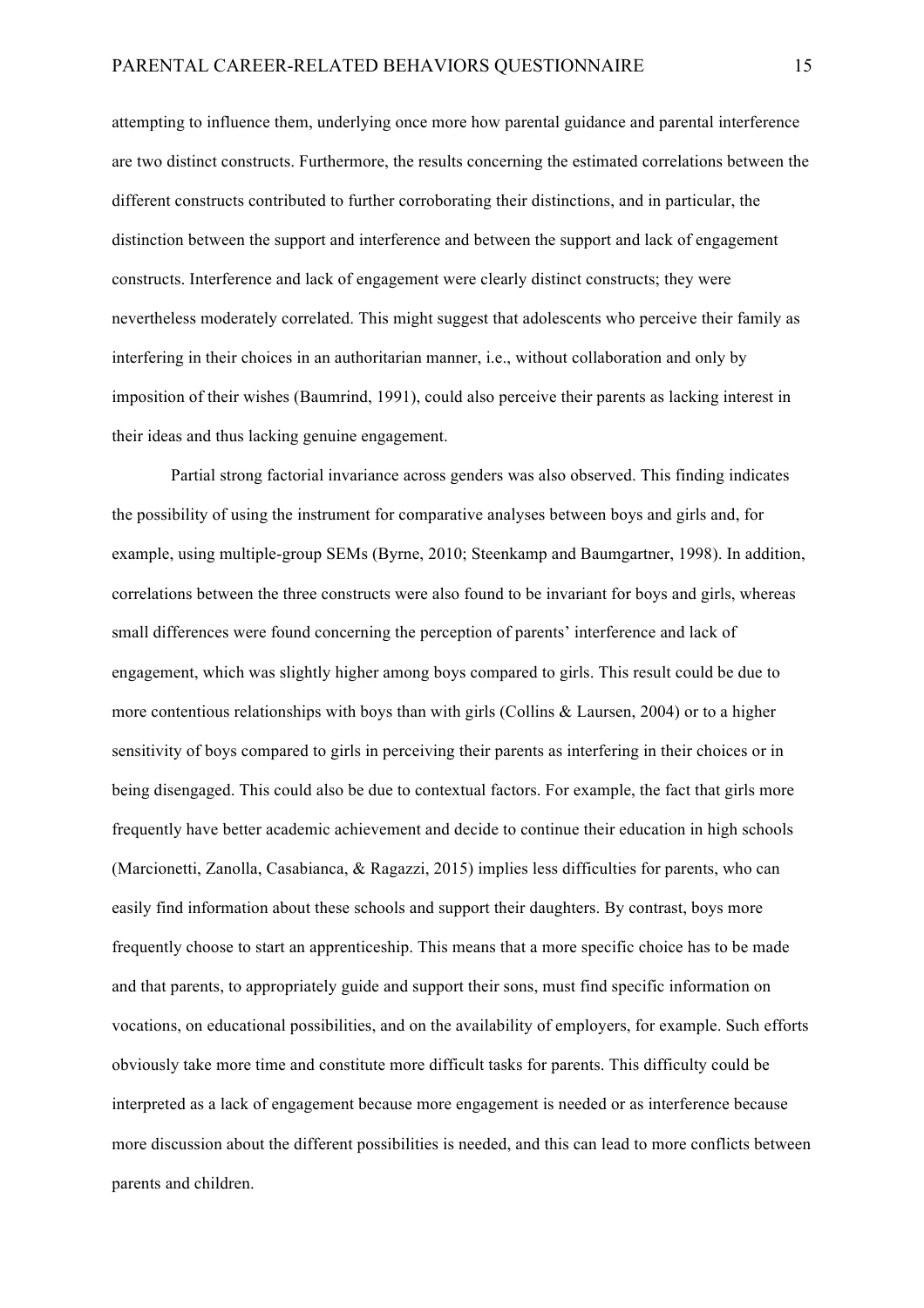attempting to influence them, underlying once more how parental guidance and parental interference are two distinct constructs. Furthermore, the results concerning the estimated correlations between the different constructs contributed to further corroborating their distinctions, and in particular, the distinction between the support and interference and between the support and lack of engagement constructs. Interference and lack of engagement were clearly distinct constructs; they were nevertheless moderately correlated. This might suggest that adolescents who perceive their family as interfering in their choices in an authoritarian manner, i.e., without collaboration and only by imposition of their wishes (Baumrind, 1991), could also perceive their parents as lacking interest in their ideas and thus lacking genuine engagement.

Partial strong factorial invariance across genders was also observed. This finding indicates the possibility of using the instrument for comparative analyses between boys and girls and, for example, using multiple-group SEMs (Byrne, 2010; Steenkamp and Baumgartner, 1998). In addition, correlations between the three constructs were also found to be invariant for boys and girls, whereas small differences were found concerning the perception of parents' interference and lack of engagement, which was slightly higher among boys compared to girls. This result could be due to more contentious relationships with boys than with girls (Collins  $&$  Laursen, 2004) or to a higher sensitivity of boys compared to girls in perceiving their parents as interfering in their choices or in being disengaged. This could also be due to contextual factors. For example, the fact that girls more frequently have better academic achievement and decide to continue their education in high schools (Marcionetti, Zanolla, Casabianca, & Ragazzi, 2015) implies less difficulties for parents, who can easily find information about these schools and support their daughters. By contrast, boys more frequently choose to start an apprenticeship. This means that a more specific choice has to be made and that parents, to appropriately guide and support their sons, must find specific information on vocations, on educational possibilities, and on the availability of employers, for example. Such efforts obviously take more time and constitute more difficult tasks for parents. This difficulty could be interpreted as a lack of engagement because more engagement is needed or as interference because more discussion about the different possibilities is needed, and this can lead to more conflicts between parents and children.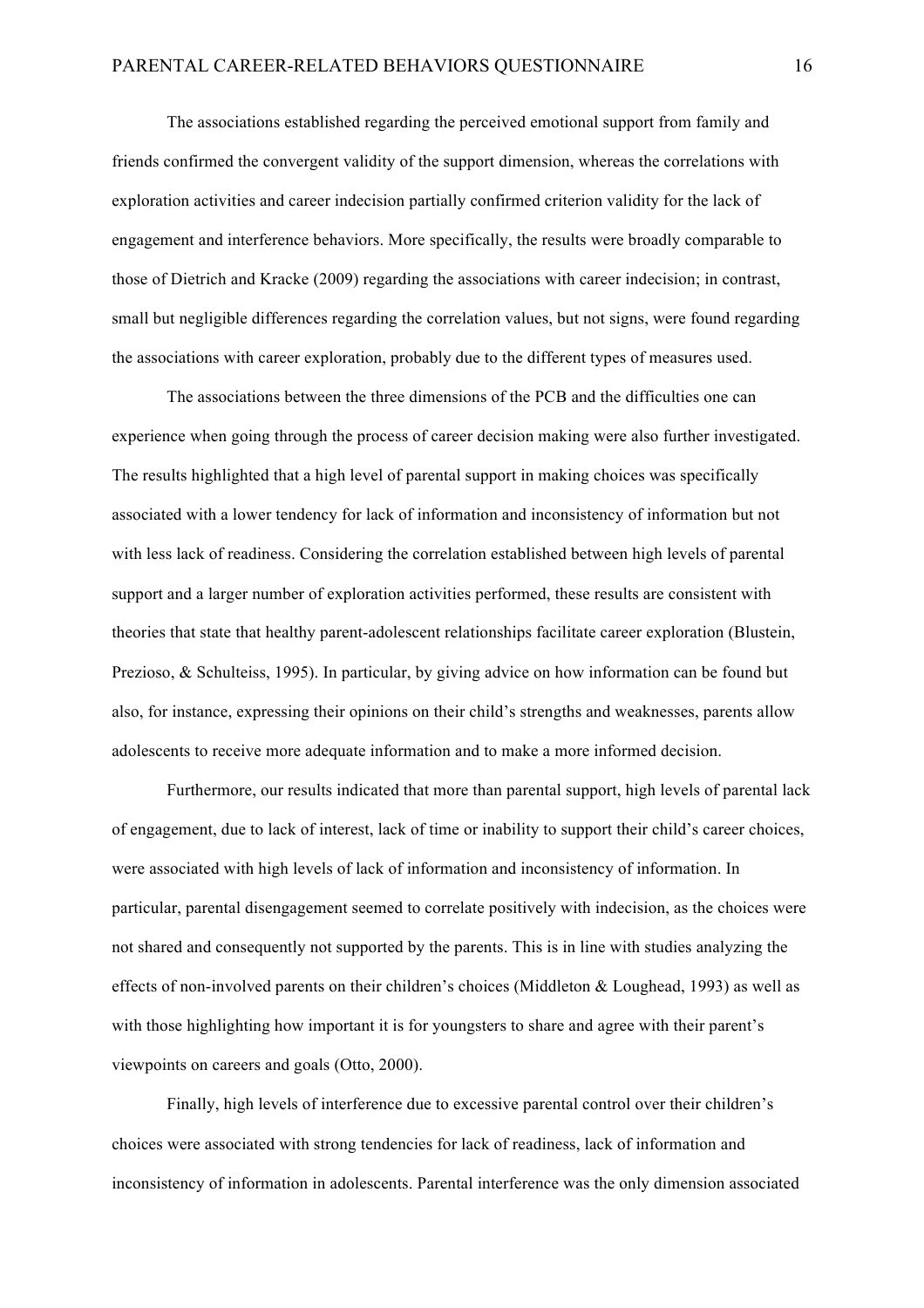The associations established regarding the perceived emotional support from family and friends confirmed the convergent validity of the support dimension, whereas the correlations with exploration activities and career indecision partially confirmed criterion validity for the lack of engagement and interference behaviors. More specifically, the results were broadly comparable to those of Dietrich and Kracke (2009) regarding the associations with career indecision; in contrast, small but negligible differences regarding the correlation values, but not signs, were found regarding the associations with career exploration, probably due to the different types of measures used.

The associations between the three dimensions of the PCB and the difficulties one can experience when going through the process of career decision making were also further investigated. The results highlighted that a high level of parental support in making choices was specifically associated with a lower tendency for lack of information and inconsistency of information but not with less lack of readiness. Considering the correlation established between high levels of parental support and a larger number of exploration activities performed, these results are consistent with theories that state that healthy parent-adolescent relationships facilitate career exploration (Blustein, Prezioso, & Schulteiss, 1995). In particular, by giving advice on how information can be found but also, for instance, expressing their opinions on their child's strengths and weaknesses, parents allow adolescents to receive more adequate information and to make a more informed decision.

Furthermore, our results indicated that more than parental support, high levels of parental lack of engagement, due to lack of interest, lack of time or inability to support their child's career choices, were associated with high levels of lack of information and inconsistency of information. In particular, parental disengagement seemed to correlate positively with indecision, as the choices were not shared and consequently not supported by the parents. This is in line with studies analyzing the effects of non-involved parents on their children's choices (Middleton  $&$  Loughead, 1993) as well as with those highlighting how important it is for youngsters to share and agree with their parent's viewpoints on careers and goals (Otto, 2000).

Finally, high levels of interference due to excessive parental control over their children's choices were associated with strong tendencies for lack of readiness, lack of information and inconsistency of information in adolescents. Parental interference was the only dimension associated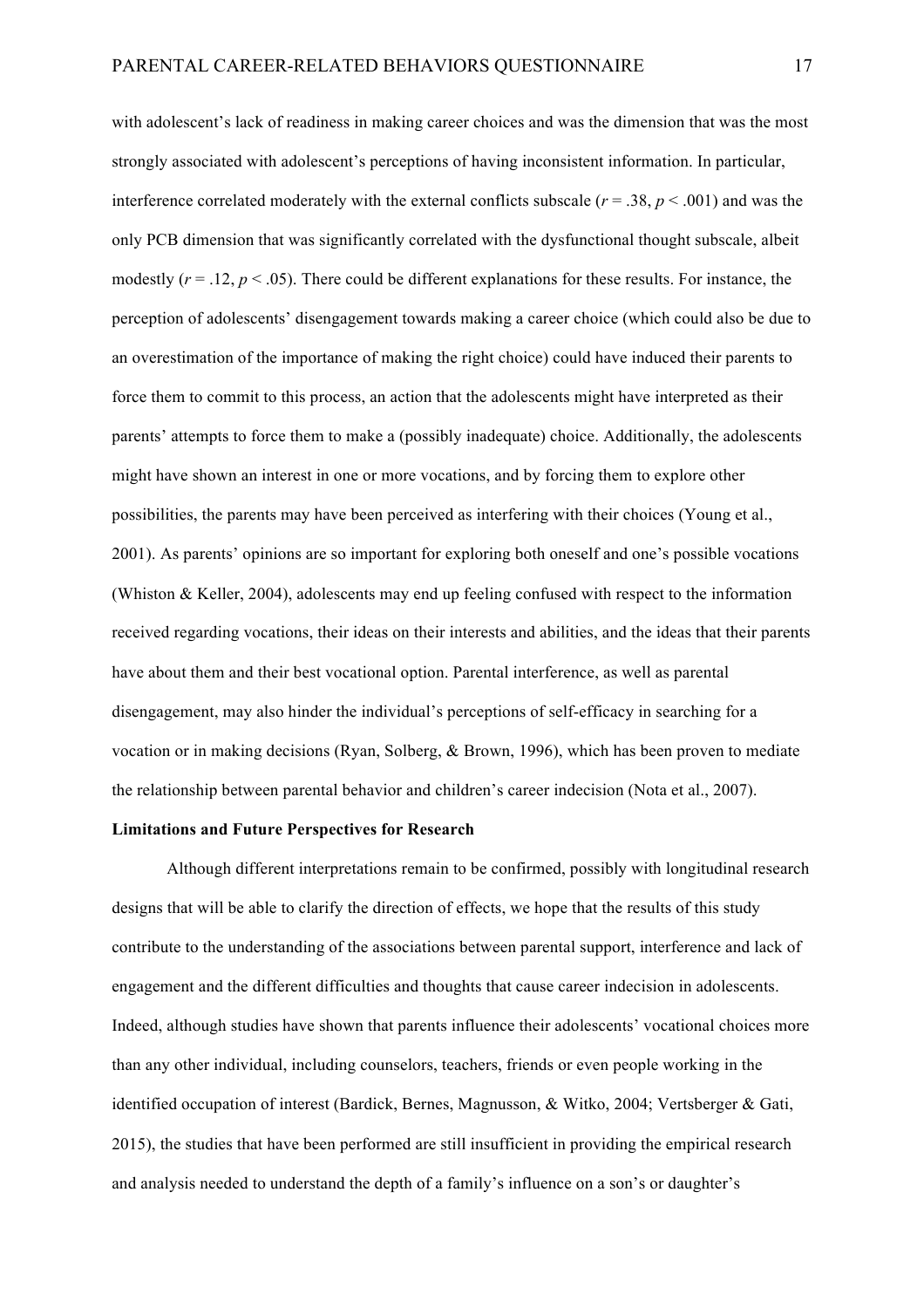with adolescent's lack of readiness in making career choices and was the dimension that was the most strongly associated with adolescent's perceptions of having inconsistent information. In particular, interference correlated moderately with the external conflicts subscale ( $r = .38$ ,  $p < .001$ ) and was the only PCB dimension that was significantly correlated with the dysfunctional thought subscale, albeit modestly  $(r = .12, p < .05)$ . There could be different explanations for these results. For instance, the perception of adolescents' disengagement towards making a career choice (which could also be due to an overestimation of the importance of making the right choice) could have induced their parents to force them to commit to this process, an action that the adolescents might have interpreted as their parents' attempts to force them to make a (possibly inadequate) choice. Additionally, the adolescents might have shown an interest in one or more vocations, and by forcing them to explore other possibilities, the parents may have been perceived as interfering with their choices (Young et al., 2001). As parents' opinions are so important for exploring both oneself and one's possible vocations (Whiston & Keller, 2004), adolescents may end up feeling confused with respect to the information received regarding vocations, their ideas on their interests and abilities, and the ideas that their parents have about them and their best vocational option. Parental interference, as well as parental disengagement, may also hinder the individual's perceptions of self-efficacy in searching for a vocation or in making decisions (Ryan, Solberg, & Brown, 1996), which has been proven to mediate the relationship between parental behavior and children's career indecision (Nota et al., 2007).

### **Limitations and Future Perspectives for Research**

Although different interpretations remain to be confirmed, possibly with longitudinal research designs that will be able to clarify the direction of effects, we hope that the results of this study contribute to the understanding of the associations between parental support, interference and lack of engagement and the different difficulties and thoughts that cause career indecision in adolescents. Indeed, although studies have shown that parents influence their adolescents' vocational choices more than any other individual, including counselors, teachers, friends or even people working in the identified occupation of interest (Bardick, Bernes, Magnusson, & Witko, 2004; Vertsberger & Gati, 2015), the studies that have been performed are still insufficient in providing the empirical research and analysis needed to understand the depth of a family's influence on a son's or daughter's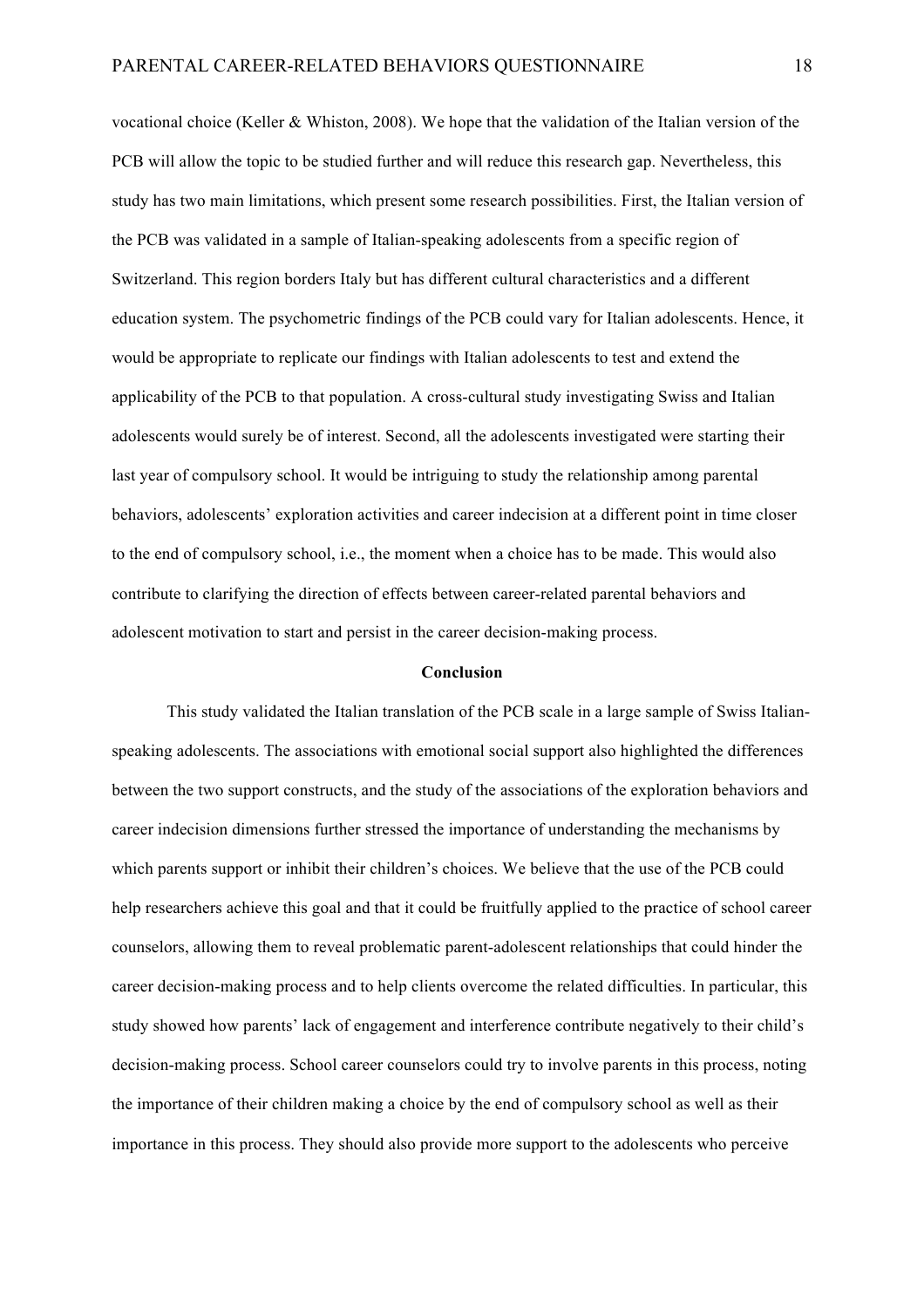vocational choice (Keller & Whiston, 2008). We hope that the validation of the Italian version of the PCB will allow the topic to be studied further and will reduce this research gap. Nevertheless, this study has two main limitations, which present some research possibilities. First, the Italian version of the PCB was validated in a sample of Italian-speaking adolescents from a specific region of Switzerland. This region borders Italy but has different cultural characteristics and a different education system. The psychometric findings of the PCB could vary for Italian adolescents. Hence, it would be appropriate to replicate our findings with Italian adolescents to test and extend the applicability of the PCB to that population. A cross-cultural study investigating Swiss and Italian adolescents would surely be of interest. Second, all the adolescents investigated were starting their last year of compulsory school. It would be intriguing to study the relationship among parental behaviors, adolescents' exploration activities and career indecision at a different point in time closer to the end of compulsory school, i.e., the moment when a choice has to be made. This would also contribute to clarifying the direction of effects between career-related parental behaviors and adolescent motivation to start and persist in the career decision-making process.

### **Conclusion**

This study validated the Italian translation of the PCB scale in a large sample of Swiss Italianspeaking adolescents. The associations with emotional social support also highlighted the differences between the two support constructs, and the study of the associations of the exploration behaviors and career indecision dimensions further stressed the importance of understanding the mechanisms by which parents support or inhibit their children's choices. We believe that the use of the PCB could help researchers achieve this goal and that it could be fruitfully applied to the practice of school career counselors, allowing them to reveal problematic parent-adolescent relationships that could hinder the career decision-making process and to help clients overcome the related difficulties. In particular, this study showed how parents' lack of engagement and interference contribute negatively to their child's decision-making process. School career counselors could try to involve parents in this process, noting the importance of their children making a choice by the end of compulsory school as well as their importance in this process. They should also provide more support to the adolescents who perceive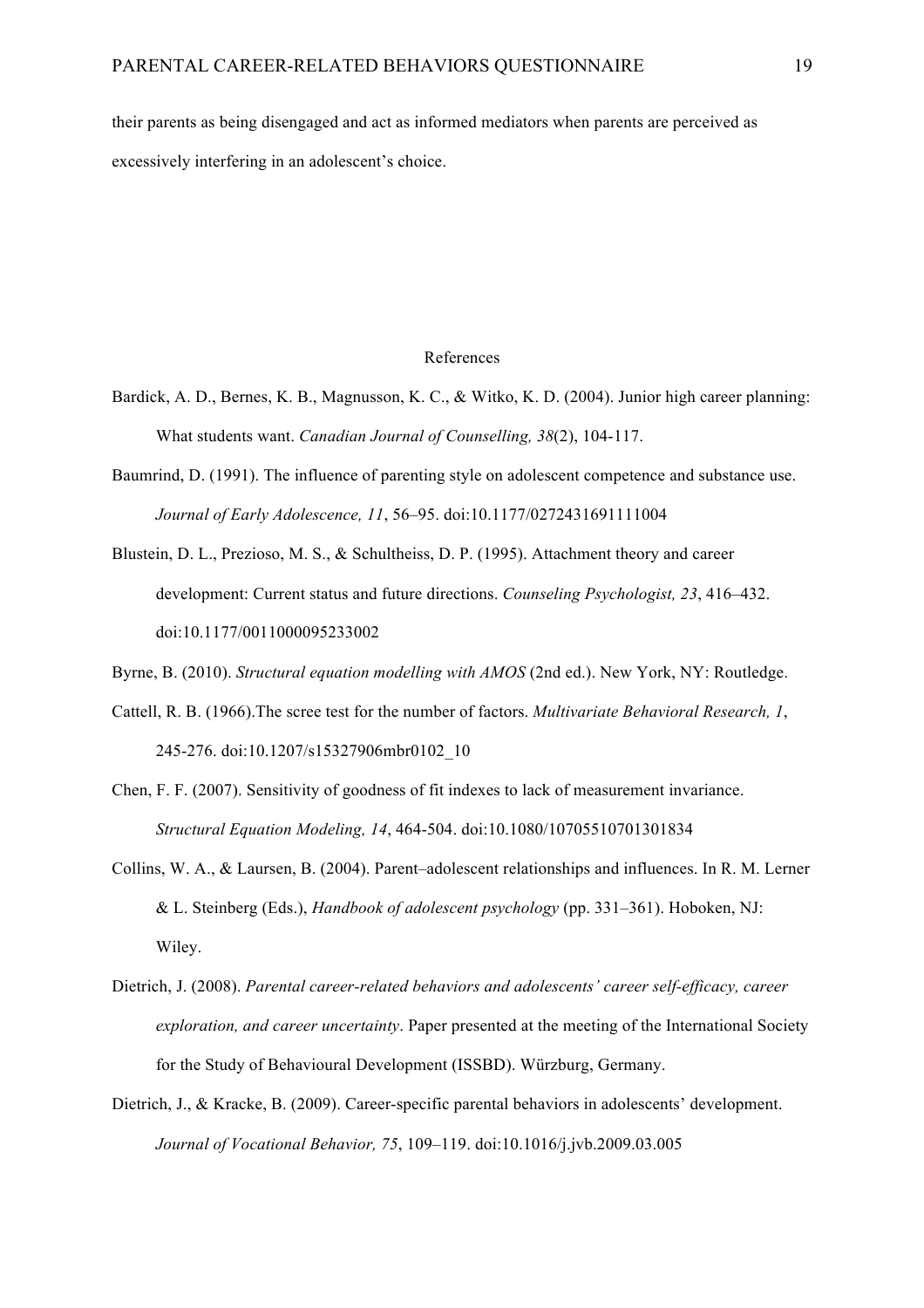their parents as being disengaged and act as informed mediators when parents are perceived as excessively interfering in an adolescent's choice.

#### References

- Bardick, A. D., Bernes, K. B., Magnusson, K. C., & Witko, K. D. (2004). Junior high career planning: What students want. *Canadian Journal of Counselling, 38*(2), 104-117.
- Baumrind, D. (1991). The influence of parenting style on adolescent competence and substance use. *Journal of Early Adolescence, 11*, 56–95. doi:10.1177/0272431691111004
- Blustein, D. L., Prezioso, M. S., & Schultheiss, D. P. (1995). Attachment theory and career development: Current status and future directions. *Counseling Psychologist, 23*, 416–432. doi:10.1177/0011000095233002

Byrne, B. (2010). *Structural equation modelling with AMOS* (2nd ed.). New York, NY: Routledge.

- Cattell, R. B. (1966).The scree test for the number of factors. *Multivariate Behavioral Research, 1*, 245-276. doi:10.1207/s15327906mbr0102\_10
- Chen, F. F. (2007). Sensitivity of goodness of fit indexes to lack of measurement invariance. *Structural Equation Modeling, 14*, 464-504. doi:10.1080/10705510701301834
- Collins, W. A., & Laursen, B. (2004). Parent–adolescent relationships and influences. In R. M. Lerner & L. Steinberg (Eds.), *Handbook of adolescent psychology* (pp. 331–361). Hoboken, NJ: Wiley.
- Dietrich, J. (2008). *Parental career-related behaviors and adolescents' career self-efficacy, career exploration, and career uncertainty*. Paper presented at the meeting of the International Society for the Study of Behavioural Development (ISSBD). Würzburg, Germany.
- Dietrich, J., & Kracke, B. (2009). Career-specific parental behaviors in adolescents' development. *Journal of Vocational Behavior, 75*, 109–119. doi:10.1016/j.jvb.2009.03.005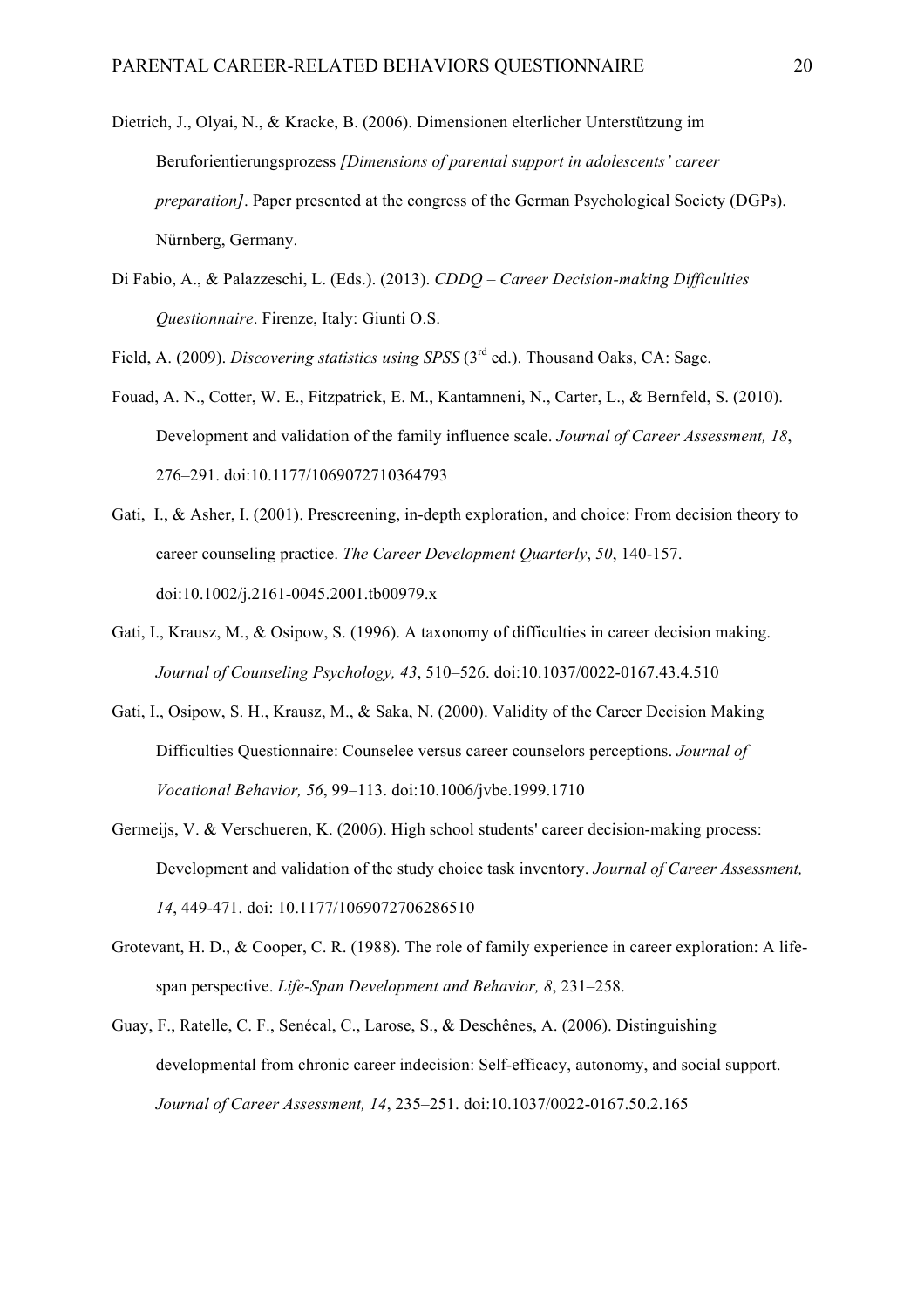- Dietrich, J., Olyai, N., & Kracke, B. (2006). Dimensionen elterlicher Unterstützung im Beruforientierungsprozess *[Dimensions of parental support in adolescents' career preparation]*. Paper presented at the congress of the German Psychological Society (DGPs). Nürnberg, Germany.
- Di Fabio, A., & Palazzeschi, L. (Eds.). (2013). *CDDQ – Career Decision-making Difficulties Questionnaire*. Firenze, Italy: Giunti O.S.

Field, A. (2009). *Discovering statistics using SPSS* (3<sup>rd</sup> ed.). Thousand Oaks, CA: Sage.

- Fouad, A. N., Cotter, W. E., Fitzpatrick, E. M., Kantamneni, N., Carter, L., & Bernfeld, S. (2010). Development and validation of the family influence scale. *Journal of Career Assessment, 18*, 276–291. doi:10.1177/1069072710364793
- Gati, I., & Asher, I. (2001). Prescreening, in-depth exploration, and choice: From decision theory to career counseling practice. *The Career Development Quarterly*, *50*, 140-157. doi:10.1002/j.2161-0045.2001.tb00979.x
- Gati, I., Krausz, M., & Osipow, S. (1996). A taxonomy of difficulties in career decision making. *Journal of Counseling Psychology, 43*, 510–526. doi:10.1037/0022-0167.43.4.510
- Gati, I., Osipow, S. H., Krausz, M., & Saka, N. (2000). Validity of the Career Decision Making Difficulties Questionnaire: Counselee versus career counselors perceptions. *Journal of Vocational Behavior, 56*, 99–113. doi:10.1006/jvbe.1999.1710
- Germeijs, V. & Verschueren, K. (2006). High school students' career decision-making process: Development and validation of the study choice task inventory. *Journal of Career Assessment, 14*, 449-471. doi: 10.1177/1069072706286510
- Grotevant, H. D., & Cooper, C. R. (1988). The role of family experience in career exploration: A lifespan perspective. *Life-Span Development and Behavior, 8*, 231–258.
- Guay, F., Ratelle, C. F., Senécal, C., Larose, S., & Deschênes, A. (2006). Distinguishing developmental from chronic career indecision: Self-efficacy, autonomy, and social support. *Journal of Career Assessment, 14*, 235–251. doi:10.1037/0022-0167.50.2.165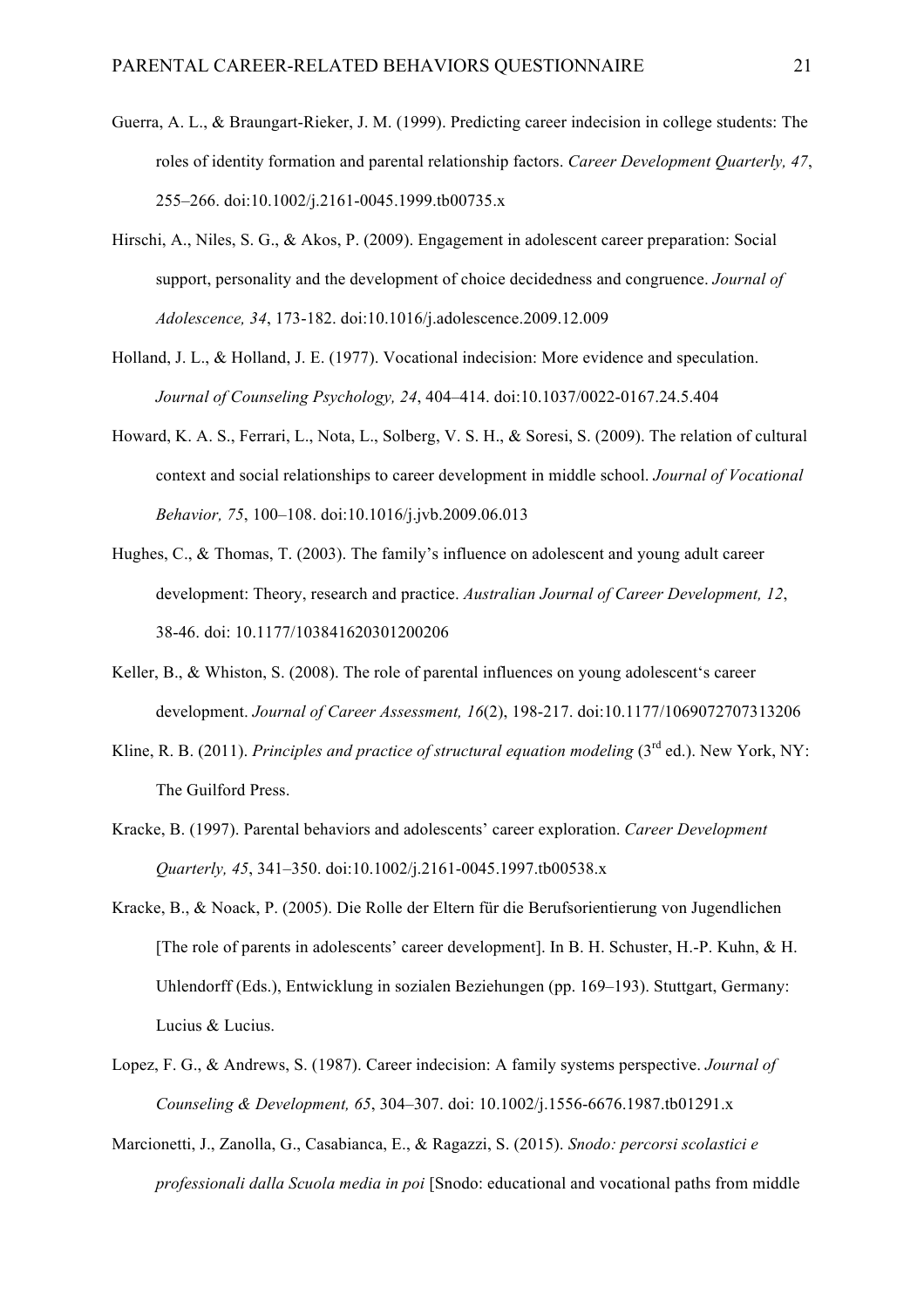- Guerra, A. L., & Braungart-Rieker, J. M. (1999). Predicting career indecision in college students: The roles of identity formation and parental relationship factors. *Career Development Quarterly, 47*, 255–266. doi:10.1002/j.2161-0045.1999.tb00735.x
- Hirschi, A., Niles, S. G., & Akos, P. (2009). Engagement in adolescent career preparation: Social support, personality and the development of choice decidedness and congruence. *Journal of Adolescence, 34*, 173-182. doi:10.1016/j.adolescence.2009.12.009
- Holland, J. L., & Holland, J. E. (1977). Vocational indecision: More evidence and speculation. *Journal of Counseling Psychology, 24*, 404–414. doi:10.1037/0022-0167.24.5.404
- Howard, K. A. S., Ferrari, L., Nota, L., Solberg, V. S. H., & Soresi, S. (2009). The relation of cultural context and social relationships to career development in middle school. *Journal of Vocational Behavior, 75*, 100–108. doi:10.1016/j.jvb.2009.06.013
- Hughes, C., & Thomas, T. (2003). The family's influence on adolescent and young adult career development: Theory, research and practice. *Australian Journal of Career Development, 12*, 38-46. doi: 10.1177/103841620301200206
- Keller, B., & Whiston, S. (2008). The role of parental influences on young adolescent's career development. *Journal of Career Assessment, 16*(2), 198-217. doi:10.1177/1069072707313206
- Kline, R. B. (2011). *Principles and practice of structural equation modeling* (3<sup>rd</sup> ed.). New York, NY: The Guilford Press.
- Kracke, B. (1997). Parental behaviors and adolescents' career exploration. *Career Development Quarterly, 45*, 341–350. doi:10.1002/j.2161-0045.1997.tb00538.x
- Kracke, B., & Noack, P. (2005). Die Rolle der Eltern für die Berufsorientierung von Jugendlichen [The role of parents in adolescents' career development]. In B. H. Schuster, H.-P. Kuhn, & H. Uhlendorff (Eds.), Entwicklung in sozialen Beziehungen (pp. 169–193). Stuttgart, Germany: Lucius & Lucius.
- Lopez, F. G., & Andrews, S. (1987). Career indecision: A family systems perspective. *Journal of Counseling & Development, 65*, 304–307. doi: 10.1002/j.1556-6676.1987.tb01291.x
- Marcionetti, J., Zanolla, G., Casabianca, E., & Ragazzi, S. (2015). *Snodo: percorsi scolastici e professionali dalla Scuola media in poi* [Snodo: educational and vocational paths from middle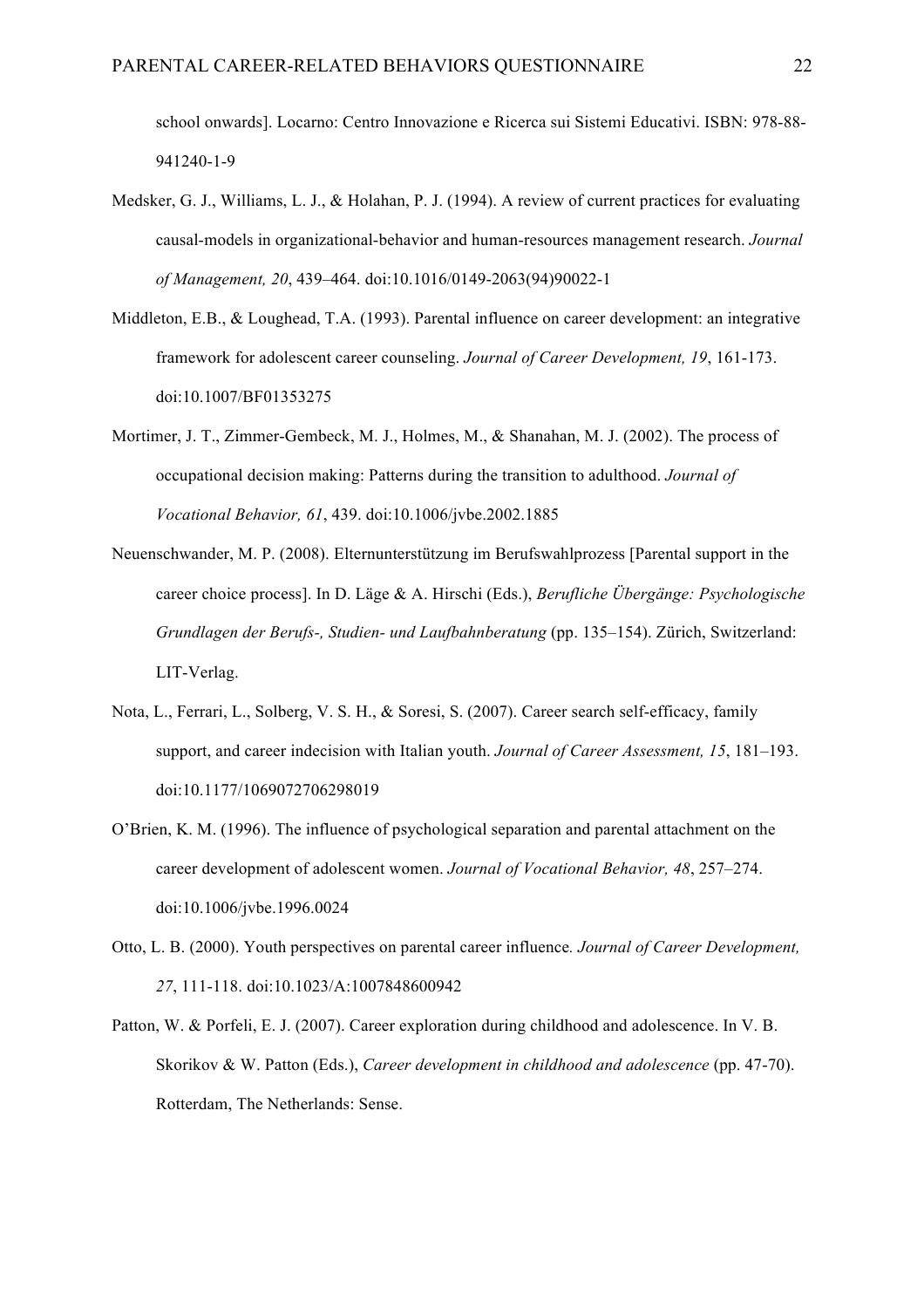school onwards]. Locarno: Centro Innovazione e Ricerca sui Sistemi Educativi. ISBN: 978-88- 941240-1-9

- Medsker, G. J., Williams, L. J., & Holahan, P. J. (1994). A review of current practices for evaluating causal-models in organizational-behavior and human-resources management research. *Journal of Management, 20*, 439–464. doi:10.1016/0149-2063(94)90022-1
- Middleton, E.B., & Loughead, T.A. (1993). Parental influence on career development: an integrative framework for adolescent career counseling. *Journal of Career Development, 19*, 161-173. doi:10.1007/BF01353275
- Mortimer, J. T., Zimmer-Gembeck, M. J., Holmes, M., & Shanahan, M. J. (2002). The process of occupational decision making: Patterns during the transition to adulthood. *Journal of Vocational Behavior, 61*, 439. doi:10.1006/jvbe.2002.1885
- Neuenschwander, M. P. (2008). Elternunterstützung im Berufswahlprozess [Parental support in the career choice process]. In D. Läge & A. Hirschi (Eds.), *Berufliche Übergänge: Psychologische Grundlagen der Berufs-, Studien- und Laufbahnberatung* (pp. 135–154). Zürich, Switzerland: LIT-Verlag.
- Nota, L., Ferrari, L., Solberg, V. S. H., & Soresi, S. (2007). Career search self-efficacy, family support, and career indecision with Italian youth. *Journal of Career Assessment, 15*, 181–193. doi:10.1177/1069072706298019
- O'Brien, K. M. (1996). The influence of psychological separation and parental attachment on the career development of adolescent women. *Journal of Vocational Behavior, 48*, 257–274. doi:10.1006/jvbe.1996.0024
- Otto, L. B. (2000). Youth perspectives on parental career influence*. Journal of Career Development, 27*, 111-118. doi:10.1023/A:1007848600942
- Patton, W. & Porfeli, E. J. (2007). Career exploration during childhood and adolescence. In V. B. Skorikov & W. Patton (Eds.), *Career development in childhood and adolescence* (pp. 47-70). Rotterdam, The Netherlands: Sense.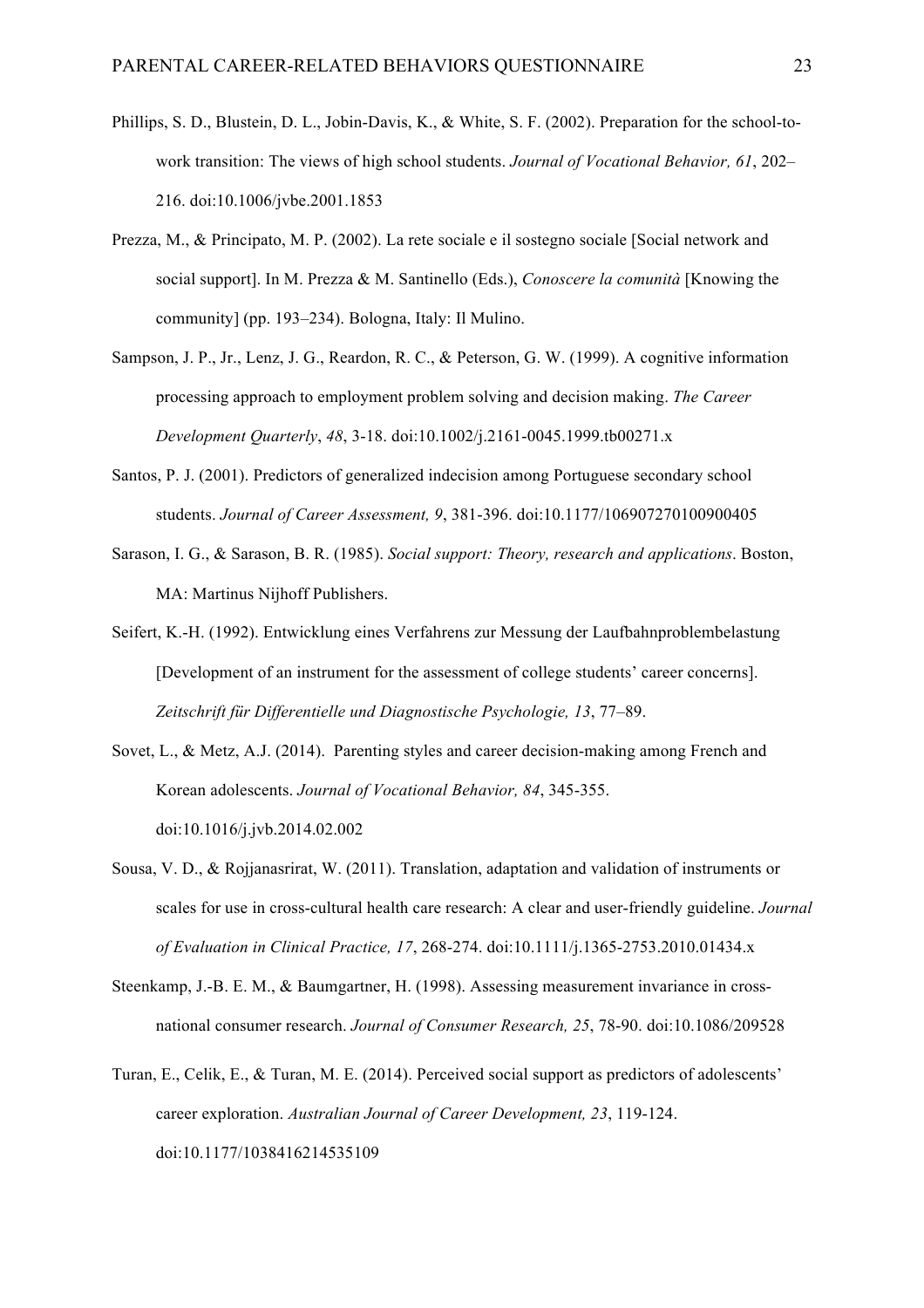- Phillips, S. D., Blustein, D. L., Jobin-Davis, K., & White, S. F. (2002). Preparation for the school-towork transition: The views of high school students. *Journal of Vocational Behavior, 61*, 202– 216. doi:10.1006/jvbe.2001.1853
- Prezza, M., & Principato, M. P. (2002). La rete sociale e il sostegno sociale [Social network and social support]. In M. Prezza & M. Santinello (Eds.), *Conoscere la comunità* [Knowing the community] (pp. 193–234). Bologna, Italy: Il Mulino.
- Sampson, J. P., Jr., Lenz, J. G., Reardon, R. C., & Peterson, G. W. (1999). A cognitive information processing approach to employment problem solving and decision making. *The Career Development Quarterly*, *48*, 3-18. doi:10.1002/j.2161-0045.1999.tb00271.x
- Santos, P. J. (2001). Predictors of generalized indecision among Portuguese secondary school students. *Journal of Career Assessment, 9*, 381-396. doi:10.1177/106907270100900405
- Sarason, I. G., & Sarason, B. R. (1985). *Social support: Theory, research and applications*. Boston, MA: Martinus Nijhoff Publishers.
- Seifert, K.-H. (1992). Entwicklung eines Verfahrens zur Messung der Laufbahnproblembelastung [Development of an instrument for the assessment of college students' career concerns]. *Zeitschrift für Differentielle und Diagnostische Psychologie, 13*, 77–89.
- Sovet, L., & Metz, A.J. (2014). Parenting styles and career decision-making among French and Korean adolescents. *Journal of Vocational Behavior, 84*, 345-355. doi:10.1016/j.jvb.2014.02.002
- Sousa, V. D., & Rojjanasrirat, W. (2011). Translation, adaptation and validation of instruments or scales for use in cross-cultural health care research: A clear and user-friendly guideline. *Journal of Evaluation in Clinical Practice, 17*, 268-274. doi:10.1111/j.1365-2753.2010.01434.x
- Steenkamp, J.-B. E. M., & Baumgartner, H. (1998). Assessing measurement invariance in crossnational consumer research. *Journal of Consumer Research, 25*, 78-90. doi:10.1086/209528
- Turan, E., Celik, E., & Turan, M. E. (2014). Perceived social support as predictors of adolescents' career exploration. *Australian Journal of Career Development, 23*, 119-124. doi:10.1177/1038416214535109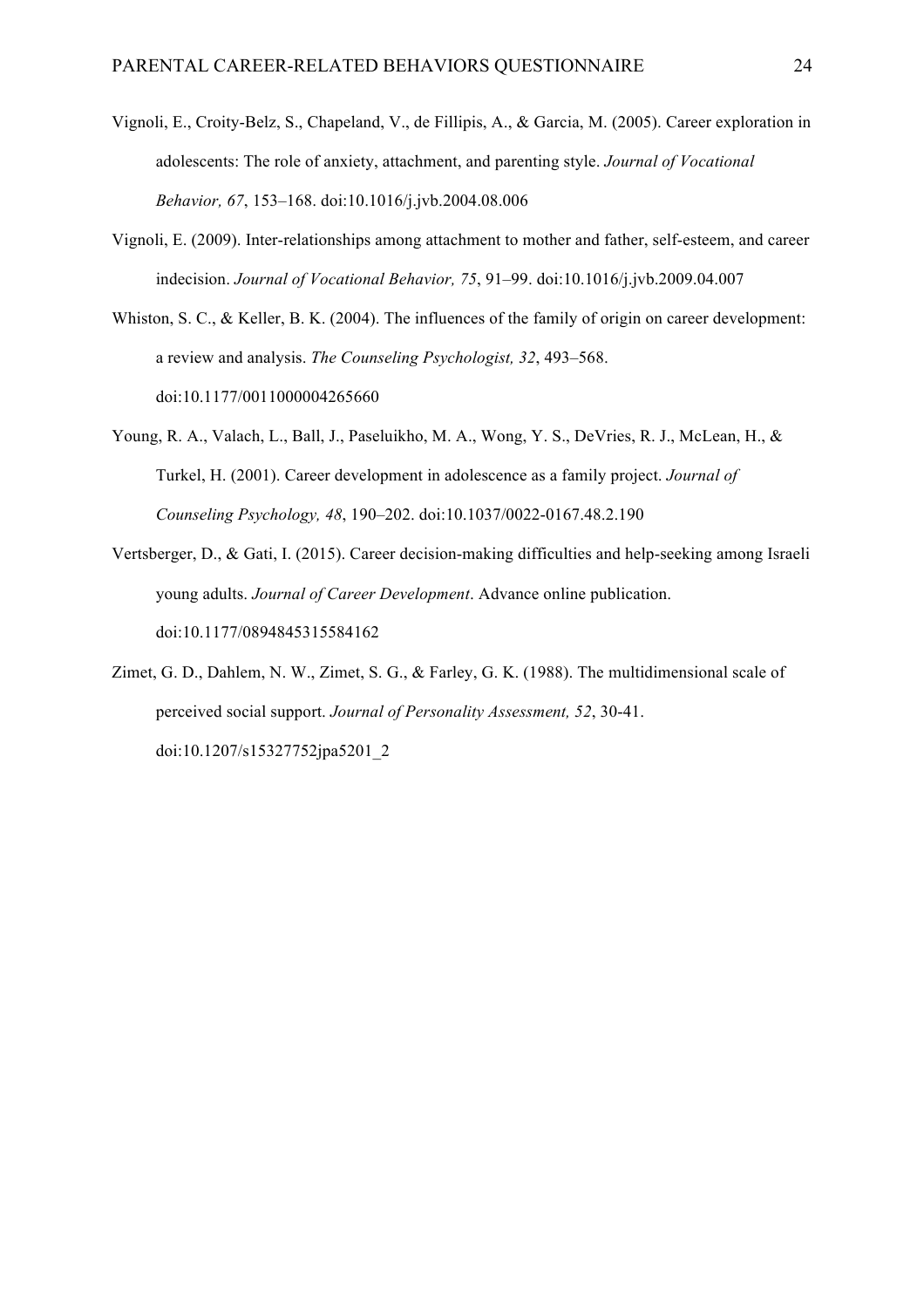- Vignoli, E., Croity-Belz, S., Chapeland, V., de Fillipis, A., & Garcia, M. (2005). Career exploration in adolescents: The role of anxiety, attachment, and parenting style. *Journal of Vocational Behavior, 67*, 153–168. doi:10.1016/j.jvb.2004.08.006
- Vignoli, E. (2009). Inter-relationships among attachment to mother and father, self-esteem, and career indecision. *Journal of Vocational Behavior, 75*, 91–99. doi:10.1016/j.jvb.2009.04.007
- Whiston, S. C., & Keller, B. K. (2004). The influences of the family of origin on career development: a review and analysis. *The Counseling Psychologist, 32*, 493–568. doi:10.1177/0011000004265660
- Young, R. A., Valach, L., Ball, J., Paseluikho, M. A., Wong, Y. S., DeVries, R. J., McLean, H., & Turkel, H. (2001). Career development in adolescence as a family project. *Journal of Counseling Psychology, 48*, 190–202. doi:10.1037/0022-0167.48.2.190
- Vertsberger, D., & Gati, I. (2015). Career decision-making difficulties and help-seeking among Israeli young adults. *Journal of Career Development*. Advance online publication. doi:10.1177/0894845315584162
- Zimet, G. D., Dahlem, N. W., Zimet, S. G., & Farley, G. K. (1988). The multidimensional scale of perceived social support. *Journal of Personality Assessment, 52*, 30-41. doi:10.1207/s15327752jpa5201\_2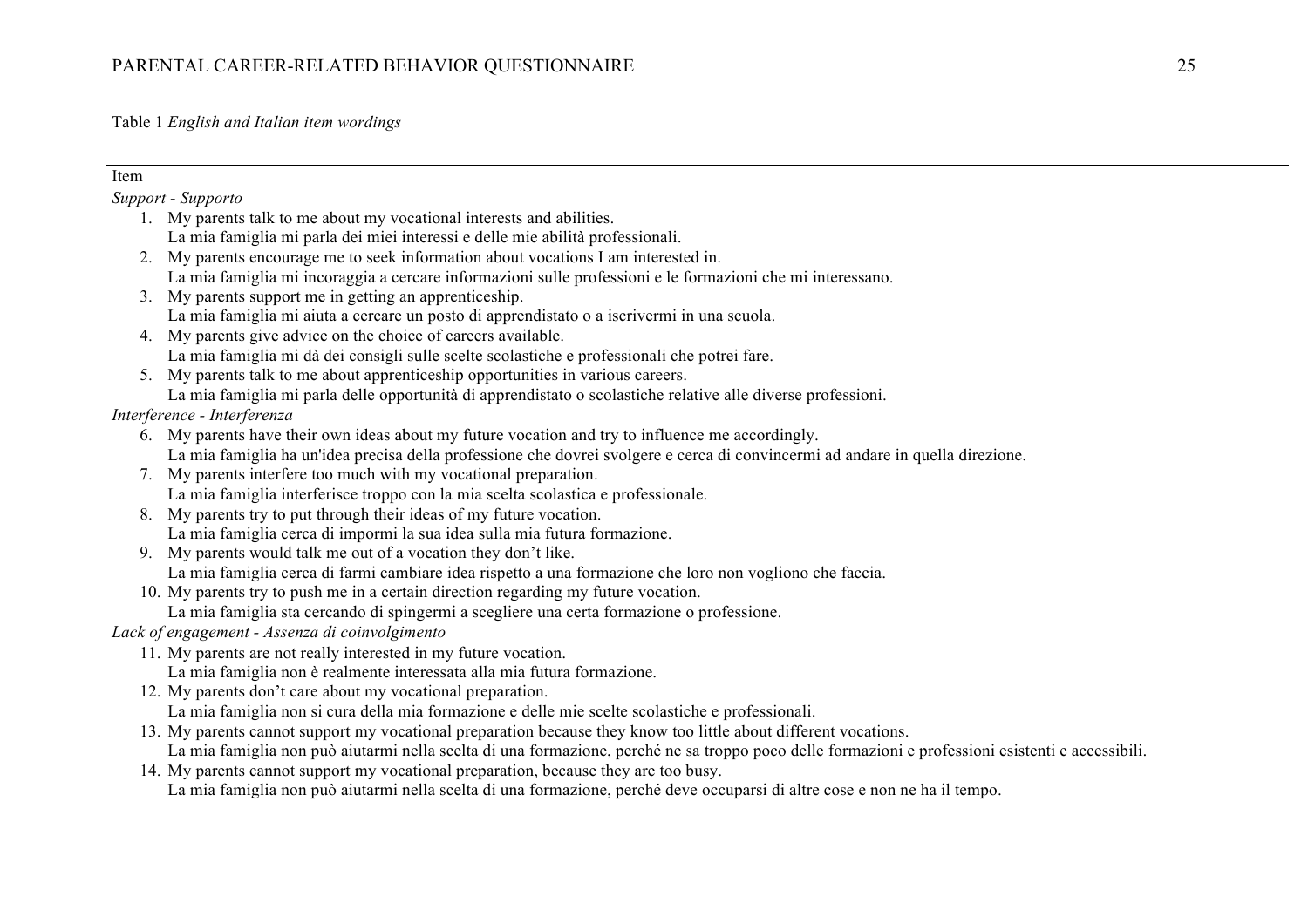Table 1 *English and Italian item wordings*

| Item |                                                                                                                                                   |
|------|---------------------------------------------------------------------------------------------------------------------------------------------------|
|      | Support - Supporto                                                                                                                                |
|      | 1. My parents talk to me about my vocational interests and abilities.                                                                             |
|      | La mia famiglia mi parla dei miei interessi e delle mie abilità professionali.                                                                    |
| 2.   | My parents encourage me to seek information about vocations I am interested in.                                                                   |
|      | La mia famiglia mi incoraggia a cercare informazioni sulle professioni e le formazioni che mi interessano.                                        |
|      | 3. My parents support me in getting an apprentice ship.                                                                                           |
|      | La mia famiglia mi aiuta a cercare un posto di apprendistato o a iscrivermi in una scuola.                                                        |
|      | 4. My parents give advice on the choice of careers available.                                                                                     |
|      | La mia famiglia mi dà dei consigli sulle scelte scolastiche e professionali che potrei fare.                                                      |
| 5.   | My parents talk to me about apprentices hip opportunities in various careers.                                                                     |
|      | La mia famiglia mi parla delle opportunità di apprendistato o scolastiche relative alle diverse professioni.                                      |
|      | Interference - Interferenza                                                                                                                       |
|      | 6. My parents have their own ideas about my future vocation and try to influence me accordingly.                                                  |
|      | La mia famiglia ha un'idea precisa della professione che dovrei svolgere e cerca di convincermi ad andare in quella direzione.                    |
|      | My parents interfere too much with my vocational preparation.                                                                                     |
|      | La mia famiglia interferisce troppo con la mia scelta scolastica e professionale.                                                                 |
| 8.   | My parents try to put through their ideas of my future vocation.                                                                                  |
|      | La mia famiglia cerca di impormi la sua idea sulla mia futura formazione.                                                                         |
|      | 9. My parents would talk me out of a vocation they don't like.                                                                                    |
|      | La mia famiglia cerca di farmi cambiare idea rispetto a una formazione che loro non vogliono che faccia.                                          |
|      | 10. My parents try to push me in a certain direction regarding my future vocation.                                                                |
|      | La mia famiglia sta cercando di spingermi a scegliere una certa formazione o professione.                                                         |
|      | Lack of engagement - Assenza di coinvolgimento                                                                                                    |
|      | 11. My parents are not really interested in my future vocation.                                                                                   |
|      | La mia famiglia non è realmente interessata alla mia futura formazione.                                                                           |
|      | 12. My parents don't care about my vocational preparation.                                                                                        |
|      | La mia famiglia non si cura della mia formazione e delle mie scelte scolastiche e professionali.                                                  |
|      | 13. My parents cannot support my vocational preparation because they know too little about different vocations.                                   |
|      | La mia famiglia non può aiutarmi nella scelta di una formazione, perché ne sa troppo poco delle formazioni e professioni esistenti e accessibili. |
|      | 14. My parents cannot support my vocational preparation, because they are too busy.                                                               |
|      | La mia famiglia non può aiutarmi nella scelta di una formazione, perché deve occuparsi di altre cose e non ne ha il tempo.                        |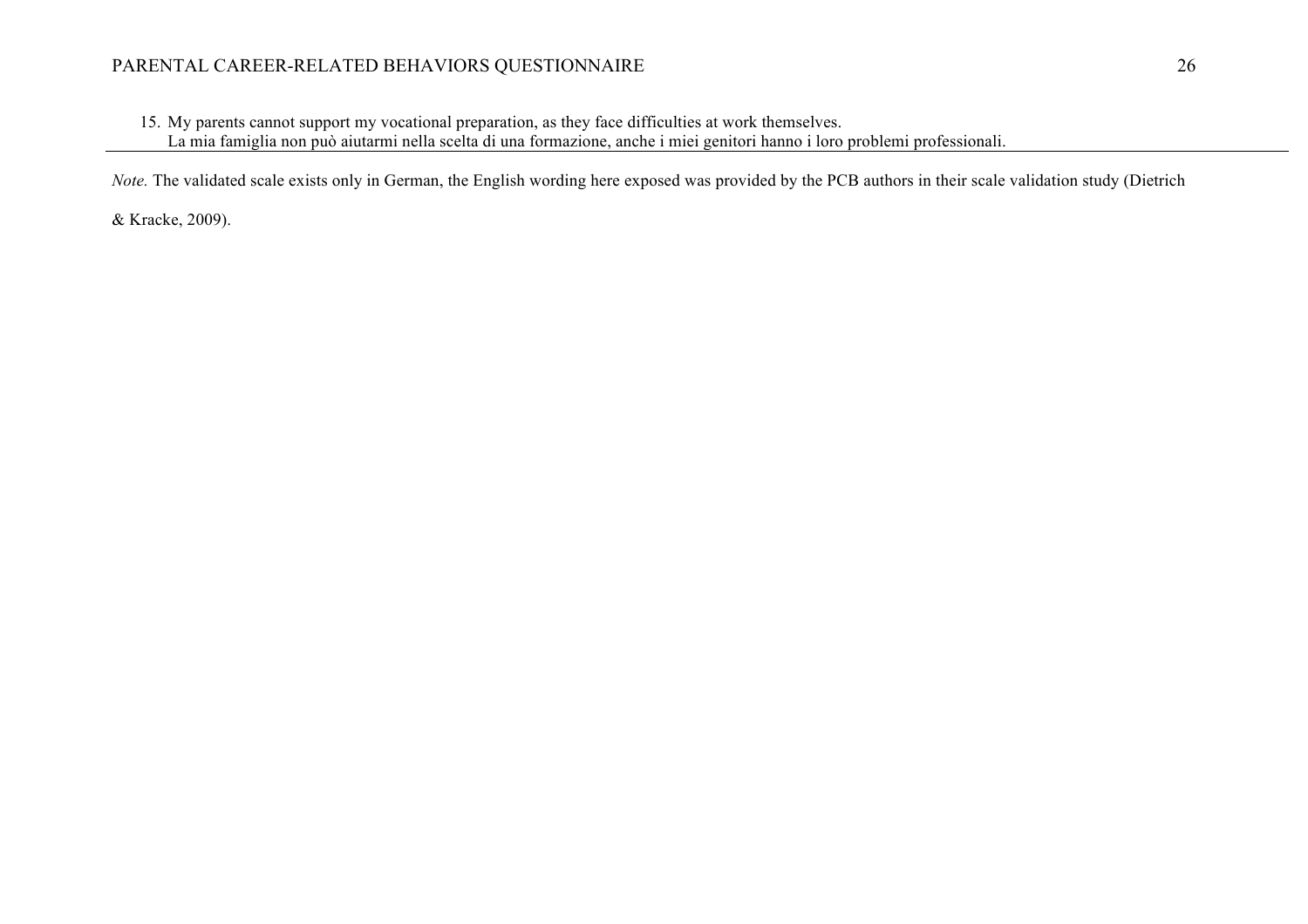# PARENTAL CAREER-RELATED BEHAVIORS QUESTIONNAIRE 26

15. My parents cannot support my vocational preparation, as they face difficulties at work themselves.

La mia famiglia non può aiutarmi nella scelta di una formazione, anche i miei genitori hanno i loro problemi professionali.

*Note.* The validated scale exists only in German, the English wording here exposed was provided by the PCB authors in their scale validation study (Dietrich

& Kracke, 2009).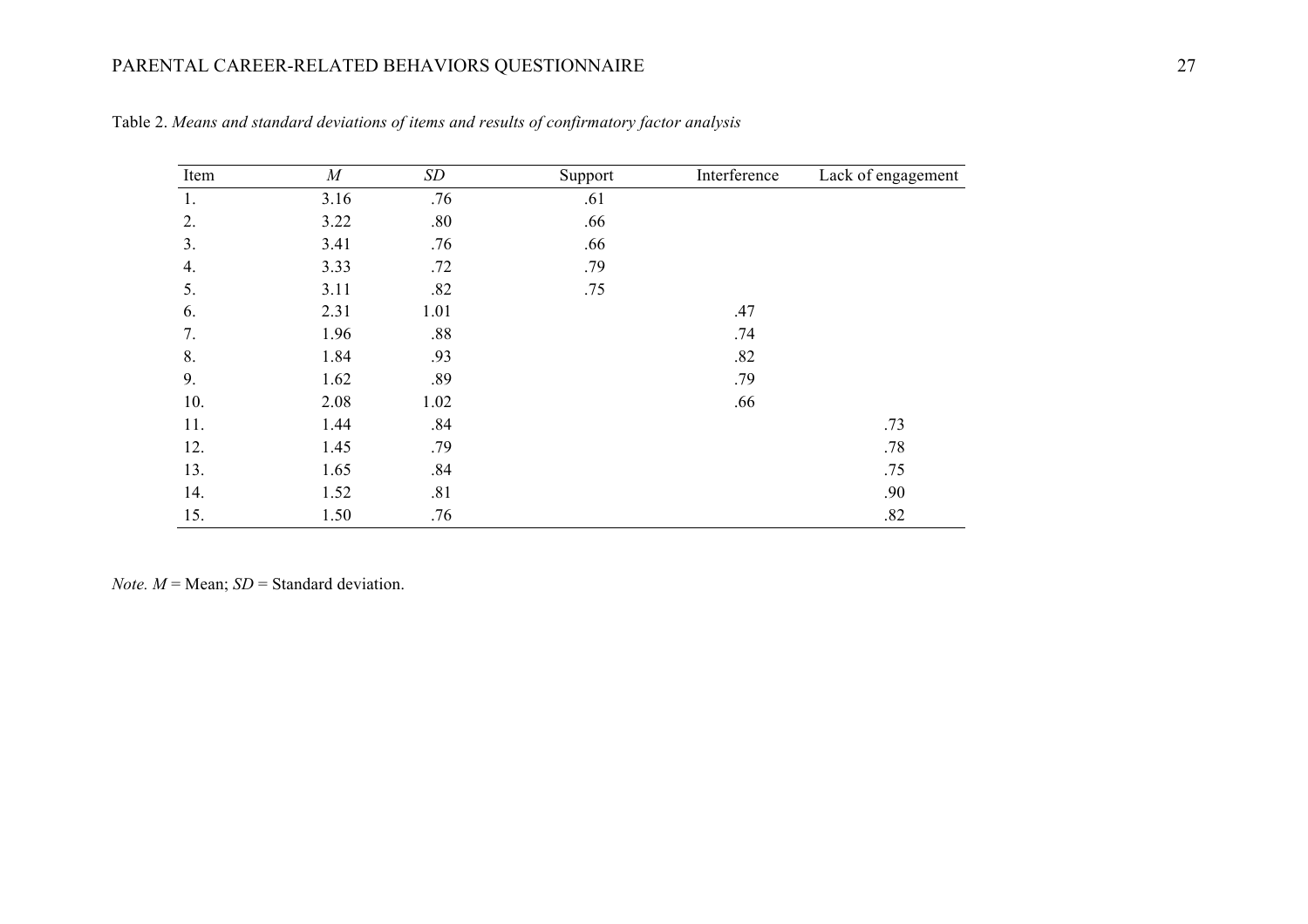# PARENTAL CAREER-RELATED BEHAVIORS QUESTIONNAIRE 27

| Item | $\cal M$ | $\cal SD$ | Support | Interference | Lack of engagement |
|------|----------|-----------|---------|--------------|--------------------|
| 1.   | 3.16     | .76       | .61     |              |                    |
| 2.   | 3.22     | .80       | .66     |              |                    |
| 3.   | 3.41     | .76       | .66     |              |                    |
| 4.   | 3.33     | .72       | .79     |              |                    |
| 5.   | 3.11     | .82       | .75     |              |                    |
| 6.   | 2.31     | 1.01      |         | .47          |                    |
| 7.   | 1.96     | .88       |         | .74          |                    |
| 8.   | 1.84     | .93       |         | .82          |                    |
| 9.   | 1.62     | .89       |         | .79          |                    |
| 10.  | 2.08     | 1.02      |         | .66          |                    |
| 11.  | 1.44     | .84       |         |              | .73                |
| 12.  | 1.45     | .79       |         |              | .78                |
| 13.  | 1.65     | .84       |         |              | .75                |
| 14.  | 1.52     | .81       |         |              | .90                |
| 15.  | 1.50     | .76       |         |              | .82                |

Table 2. *Means and standard deviations of items and results of confirmatory factor analysis*

*Note.*  $M$  = Mean; *SD* = Standard deviation.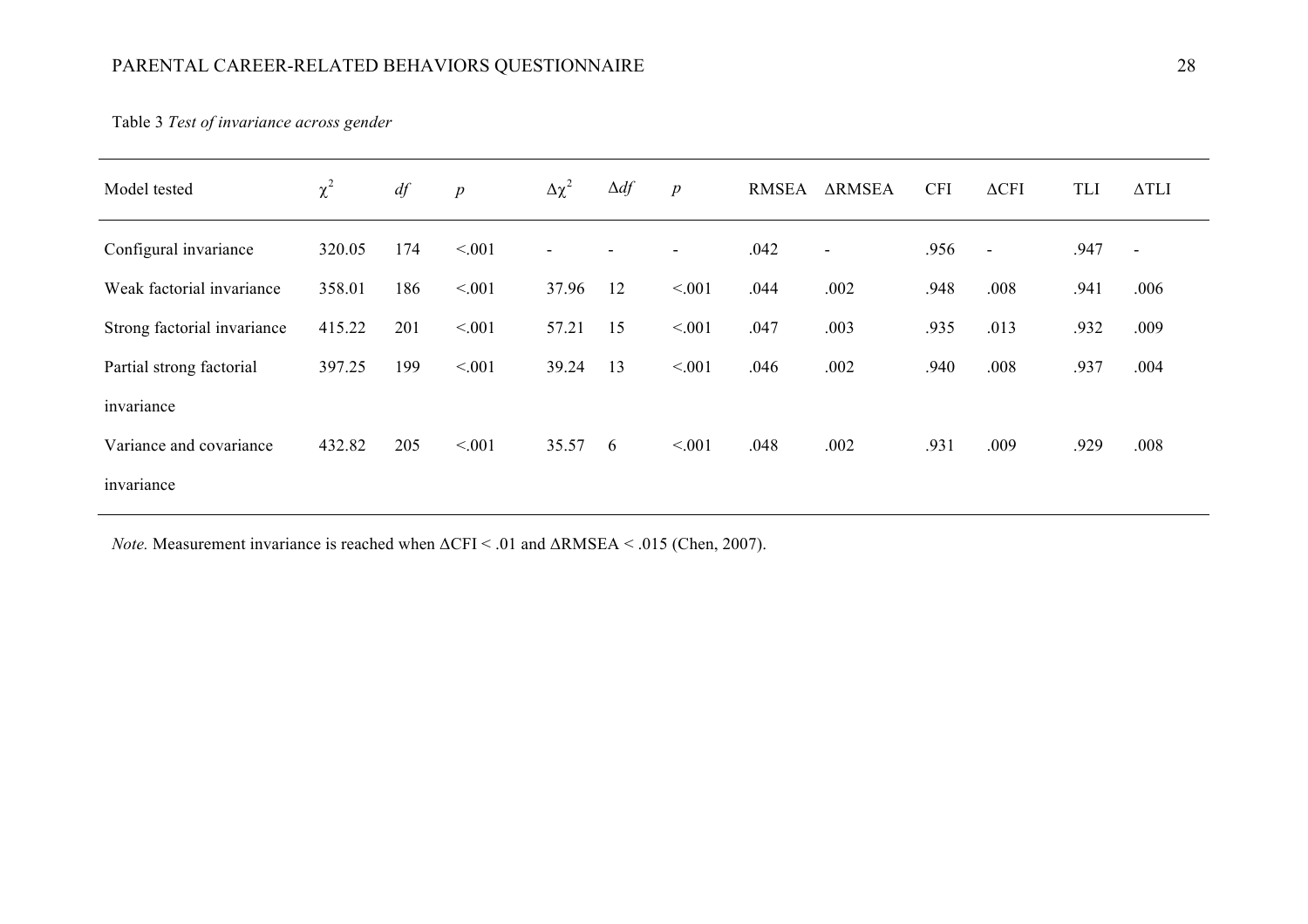# PARENTAL CAREER-RELATED BEHAVIORS QUESTIONNAIRE 28

Table 3 *Test of invariance across gender*

| Model tested                | $\chi^2$ | df  | $\boldsymbol{p}$ | $\Delta\chi^2$        | $\Delta df$ | $\boldsymbol{p}$ | <b>RMSEA</b> | <b>ARMSEA</b>            | <b>CFI</b> | $\Delta$ CFI | <b>TLI</b> | $\Delta TLI$             |
|-----------------------------|----------|-----|------------------|-----------------------|-------------|------------------|--------------|--------------------------|------------|--------------|------------|--------------------------|
| Configural invariance       | 320.05   | 174 | < 0.01           | $\tilde{\phantom{a}}$ |             |                  | .042         | $\overline{\phantom{a}}$ | .956       | $\sim$       | .947       | $\overline{\phantom{a}}$ |
| Weak factorial invariance   | 358.01   | 186 | < 0.01           | 37.96                 | 12          | < 0.01           | .044         | .002                     | .948       | .008         | .941       | .006                     |
| Strong factorial invariance | 415.22   | 201 | < 0.01           | 57.21                 | 15          | < 0.01           | .047         | .003                     | .935       | .013         | .932       | .009                     |
| Partial strong factorial    | 397.25   | 199 | < 0.01           | 39.24                 | 13          | < 0.01           | .046         | .002                     | .940       | .008         | .937       | .004                     |
| invariance                  |          |     |                  |                       |             |                  |              |                          |            |              |            |                          |
| Variance and covariance     | 432.82   | 205 | < 0.01           | 35.57                 | - 6         | < 0.01           | .048         | .002                     | .931       | .009         | .929       | .008                     |
| invariance                  |          |     |                  |                       |             |                  |              |                          |            |              |            |                          |

*Note.* Measurement invariance is reached when  $\Delta$ CFI < .01 and  $\Delta$ RMSEA < .015 (Chen, 2007).